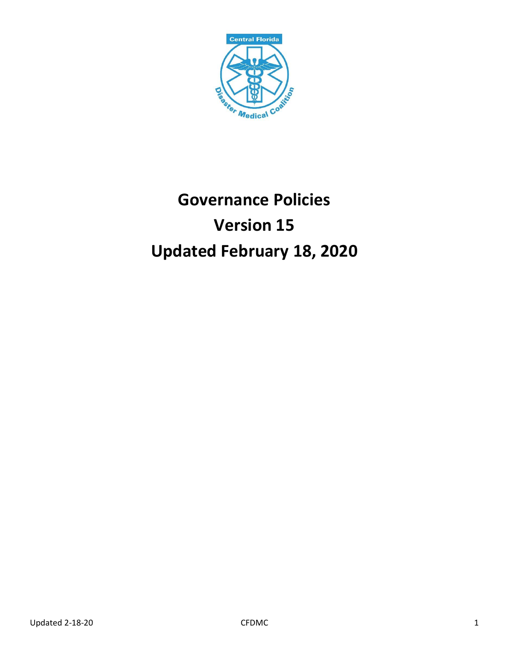

# **Governance Policies Version 15 Updated February 18, 2020**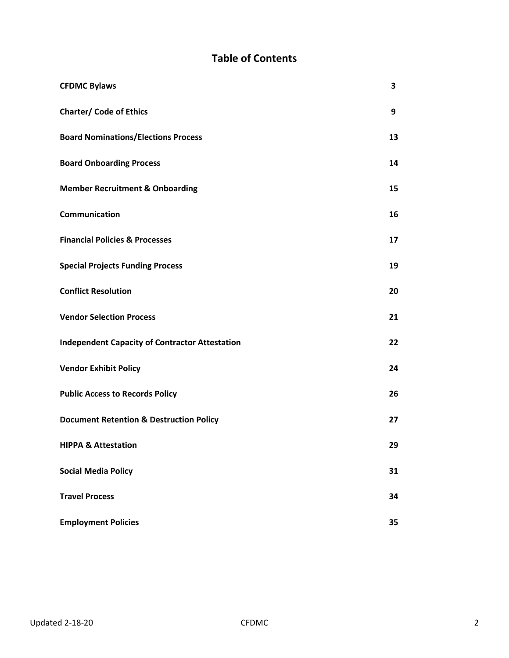## **Table of Contents**

| <b>CFDMC Bylaws</b>                                   | 3  |
|-------------------------------------------------------|----|
| <b>Charter/ Code of Ethics</b>                        | 9  |
| <b>Board Nominations/Elections Process</b>            | 13 |
| <b>Board Onboarding Process</b>                       | 14 |
| <b>Member Recruitment &amp; Onboarding</b>            | 15 |
| Communication                                         | 16 |
| <b>Financial Policies &amp; Processes</b>             | 17 |
| <b>Special Projects Funding Process</b>               | 19 |
| <b>Conflict Resolution</b>                            | 20 |
| <b>Vendor Selection Process</b>                       | 21 |
| <b>Independent Capacity of Contractor Attestation</b> | 22 |
| <b>Vendor Exhibit Policy</b>                          | 24 |
| <b>Public Access to Records Policy</b>                | 26 |
| <b>Document Retention &amp; Destruction Policy</b>    | 27 |
| <b>HIPPA &amp; Attestation</b>                        | 29 |
| <b>Social Media Policy</b>                            | 31 |
| <b>Travel Process</b>                                 | 34 |
| <b>Employment Policies</b>                            | 35 |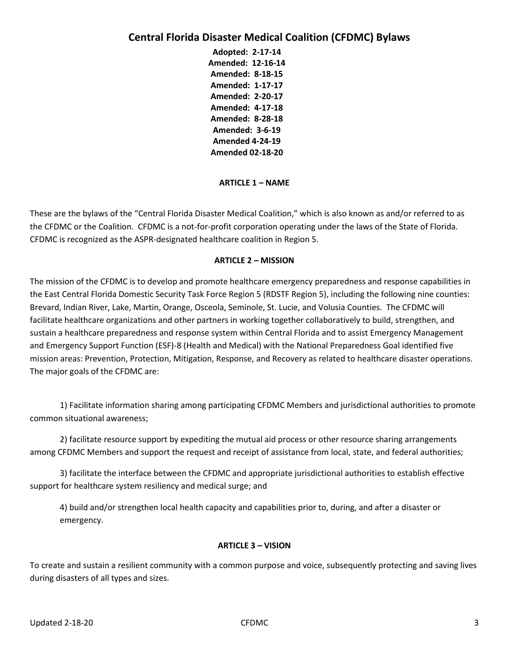## **Central Florida Disaster Medical Coalition (CFDMC) Bylaws**

**Adopted: 2-17-14 Amended: 12-16-14 Amended: 8-18-15 Amended: 1-17-17 Amended: 2-20-17 Amended: 4-17-18 Amended: 8-28-18 Amended: 3-6-19 Amended 4-24-19 Amended 02-18-20**

## **ARTICLE 1 – NAME**

These are the bylaws of the "Central Florida Disaster Medical Coalition," which is also known as and/or referred to as the CFDMC or the Coalition. CFDMC is a not-for-profit corporation operating under the laws of the State of Florida. CFDMC is recognized as the ASPR-designated healthcare coalition in Region 5.

#### **ARTICLE 2 – MISSION**

The mission of the CFDMC is to develop and promote healthcare emergency preparedness and response capabilities in the East Central Florida Domestic Security Task Force Region 5 (RDSTF Region 5), including the following nine counties: Brevard, Indian River, Lake, Martin, Orange, Osceola, Seminole, St. Lucie, and Volusia Counties. The CFDMC will facilitate healthcare organizations and other partners in working together collaboratively to build, strengthen, and sustain a healthcare preparedness and response system within Central Florida and to assist Emergency Management and Emergency Support Function (ESF)-8 (Health and Medical) with the National Preparedness Goal identified five mission areas: Prevention, Protection, Mitigation, Response, and Recovery as related to healthcare disaster operations. The major goals of the CFDMC are:

1) Facilitate information sharing among participating CFDMC Members and jurisdictional authorities to promote common situational awareness;

2) facilitate resource support by expediting the mutual aid process or other resource sharing arrangements among CFDMC Members and support the request and receipt of assistance from local, state, and federal authorities;

3) facilitate the interface between the CFDMC and appropriate jurisdictional authorities to establish effective support for healthcare system resiliency and medical surge; and

4) build and/or strengthen local health capacity and capabilities prior to, during, and after a disaster or emergency.

#### **ARTICLE 3 – VISION**

To create and sustain a resilient community with a common purpose and voice, subsequently protecting and saving lives during disasters of all types and sizes.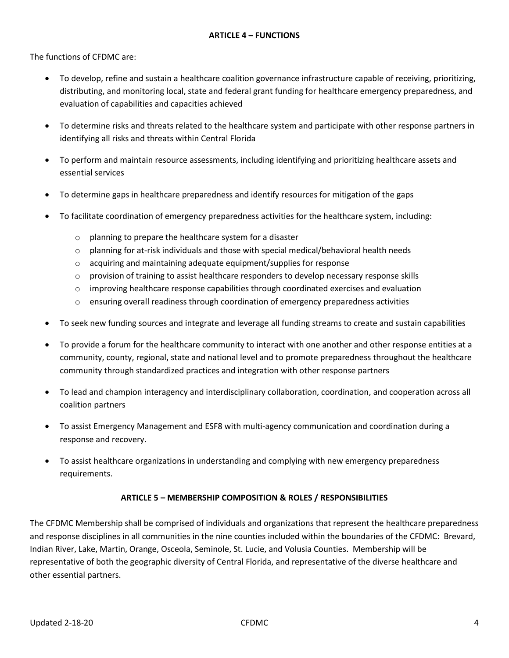The functions of CFDMC are:

- To develop, refine and sustain a healthcare coalition governance infrastructure capable of receiving, prioritizing, distributing, and monitoring local, state and federal grant funding for healthcare emergency preparedness, and evaluation of capabilities and capacities achieved
- To determine risks and threats related to the healthcare system and participate with other response partners in identifying all risks and threats within Central Florida
- To perform and maintain resource assessments, including identifying and prioritizing healthcare assets and essential services
- To determine gaps in healthcare preparedness and identify resources for mitigation of the gaps
- To facilitate coordination of emergency preparedness activities for the healthcare system, including:
	- o planning to prepare the healthcare system for a disaster
	- $\circ$  planning for at-risk individuals and those with special medical/behavioral health needs
	- o acquiring and maintaining adequate equipment/supplies for response
	- $\circ$  provision of training to assist healthcare responders to develop necessary response skills
	- $\circ$  improving healthcare response capabilities through coordinated exercises and evaluation
	- o ensuring overall readiness through coordination of emergency preparedness activities
- To seek new funding sources and integrate and leverage all funding streams to create and sustain capabilities
- To provide a forum for the healthcare community to interact with one another and other response entities at a community, county, regional, state and national level and to promote preparedness throughout the healthcare community through standardized practices and integration with other response partners
- To lead and champion interagency and interdisciplinary collaboration, coordination, and cooperation across all coalition partners
- To assist Emergency Management and ESF8 with multi-agency communication and coordination during a response and recovery.
- To assist healthcare organizations in understanding and complying with new emergency preparedness requirements.

## **ARTICLE 5 – MEMBERSHIP COMPOSITION & ROLES / RESPONSIBILITIES**

The CFDMC Membership shall be comprised of individuals and organizations that represent the healthcare preparedness and response disciplines in all communities in the nine counties included within the boundaries of the CFDMC: Brevard, Indian River, Lake, Martin, Orange, Osceola, Seminole, St. Lucie, and Volusia Counties. Membership will be representative of both the geographic diversity of Central Florida, and representative of the diverse healthcare and other essential partners.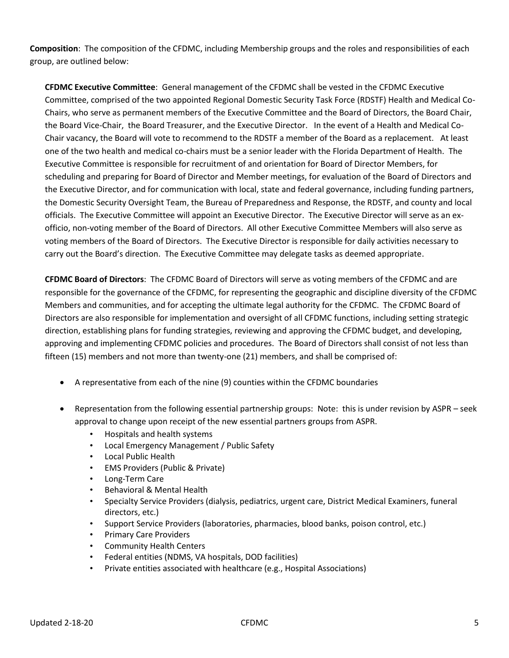**Composition**: The composition of the CFDMC, including Membership groups and the roles and responsibilities of each group, are outlined below:

**CFDMC Executive Committee**: General management of the CFDMC shall be vested in the CFDMC Executive Committee, comprised of the two appointed Regional Domestic Security Task Force (RDSTF) Health and Medical Co-Chairs, who serve as permanent members of the Executive Committee and the Board of Directors, the Board Chair, the Board Vice-Chair, the Board Treasurer, and the Executive Director. In the event of a Health and Medical Co-Chair vacancy, the Board will vote to recommend to the RDSTF a member of the Board as a replacement. At least one of the two health and medical co-chairs must be a senior leader with the Florida Department of Health. The Executive Committee is responsible for recruitment of and orientation for Board of Director Members, for scheduling and preparing for Board of Director and Member meetings, for evaluation of the Board of Directors and the Executive Director, and for communication with local, state and federal governance, including funding partners, the Domestic Security Oversight Team, the Bureau of Preparedness and Response, the RDSTF, and county and local officials. The Executive Committee will appoint an Executive Director. The Executive Director will serve as an exofficio, non-voting member of the Board of Directors. All other Executive Committee Members will also serve as voting members of the Board of Directors. The Executive Director is responsible for daily activities necessary to carry out the Board's direction. The Executive Committee may delegate tasks as deemed appropriate.

**CFDMC Board of Directors**: The CFDMC Board of Directors will serve as voting members of the CFDMC and are responsible for the governance of the CFDMC, for representing the geographic and discipline diversity of the CFDMC Members and communities, and for accepting the ultimate legal authority for the CFDMC. The CFDMC Board of Directors are also responsible for implementation and oversight of all CFDMC functions, including setting strategic direction, establishing plans for funding strategies, reviewing and approving the CFDMC budget, and developing, approving and implementing CFDMC policies and procedures. The Board of Directors shall consist of not less than fifteen (15) members and not more than twenty-one (21) members, and shall be comprised of:

- A representative from each of the nine (9) counties within the CFDMC boundaries
- Representation from the following essential partnership groups: Note: this is under revision by ASPR seek approval to change upon receipt of the new essential partners groups from ASPR.
	- Hospitals and health systems
	- Local Emergency Management / Public Safety
	- Local Public Health
	- EMS Providers (Public & Private)
	- Long-Term Care
	- Behavioral & Mental Health
	- Specialty Service Providers (dialysis, pediatrics, urgent care, District Medical Examiners, funeral directors, etc.)
	- Support Service Providers (laboratories, pharmacies, blood banks, poison control, etc.)
	- Primary Care Providers
	- Community Health Centers
	- Federal entities (NDMS, VA hospitals, DOD facilities)
	- Private entities associated with healthcare (e.g., Hospital Associations)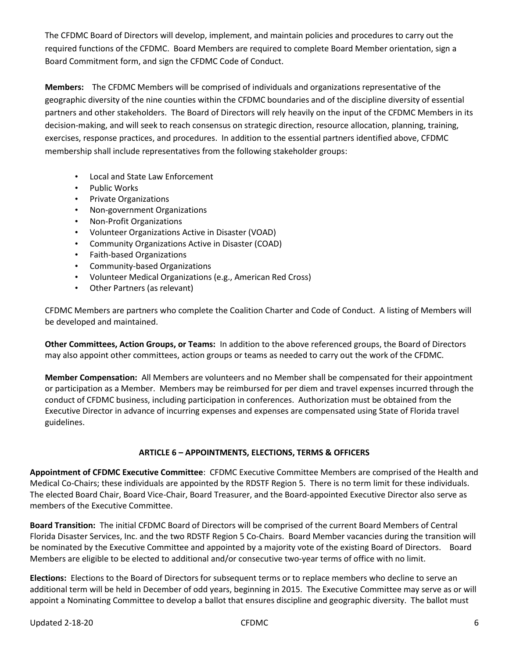The CFDMC Board of Directors will develop, implement, and maintain policies and procedures to carry out the required functions of the CFDMC. Board Members are required to complete Board Member orientation, sign a Board Commitment form, and sign the CFDMC Code of Conduct.

**Members:** The CFDMC Members will be comprised of individuals and organizations representative of the geographic diversity of the nine counties within the CFDMC boundaries and of the discipline diversity of essential partners and other stakeholders. The Board of Directors will rely heavily on the input of the CFDMC Members in its decision-making, and will seek to reach consensus on strategic direction, resource allocation, planning, training, exercises, response practices, and procedures. In addition to the essential partners identified above, CFDMC membership shall include representatives from the following stakeholder groups:

- Local and State Law Enforcement
- Public Works
- Private Organizations
- Non-government Organizations
- Non-Profit Organizations
- Volunteer Organizations Active in Disaster (VOAD)
- Community Organizations Active in Disaster (COAD)
- Faith-based Organizations
- Community-based Organizations
- Volunteer Medical Organizations (e.g., American Red Cross)
- Other Partners (as relevant)

CFDMC Members are partners who complete the Coalition Charter and Code of Conduct. A listing of Members will be developed and maintained.

**Other Committees, Action Groups, or Teams:** In addition to the above referenced groups, the Board of Directors may also appoint other committees, action groups or teams as needed to carry out the work of the CFDMC.

**Member Compensation:** All Members are volunteers and no Member shall be compensated for their appointment or participation as a Member. Members may be reimbursed for per diem and travel expenses incurred through the conduct of CFDMC business, including participation in conferences. Authorization must be obtained from the Executive Director in advance of incurring expenses and expenses are compensated using State of Florida travel guidelines.

## **ARTICLE 6 – APPOINTMENTS, ELECTIONS, TERMS & OFFICERS**

**Appointment of CFDMC Executive Committee**: CFDMC Executive Committee Members are comprised of the Health and Medical Co-Chairs; these individuals are appointed by the RDSTF Region 5. There is no term limit for these individuals. The elected Board Chair, Board Vice-Chair, Board Treasurer, and the Board-appointed Executive Director also serve as members of the Executive Committee.

**Board Transition:** The initial CFDMC Board of Directors will be comprised of the current Board Members of Central Florida Disaster Services, Inc. and the two RDSTF Region 5 Co-Chairs. Board Member vacancies during the transition will be nominated by the Executive Committee and appointed by a majority vote of the existing Board of Directors. Board Members are eligible to be elected to additional and/or consecutive two-year terms of office with no limit.

**Elections:** Elections to the Board of Directors for subsequent terms or to replace members who decline to serve an additional term will be held in December of odd years, beginning in 2015. The Executive Committee may serve as or will appoint a Nominating Committee to develop a ballot that ensures discipline and geographic diversity. The ballot must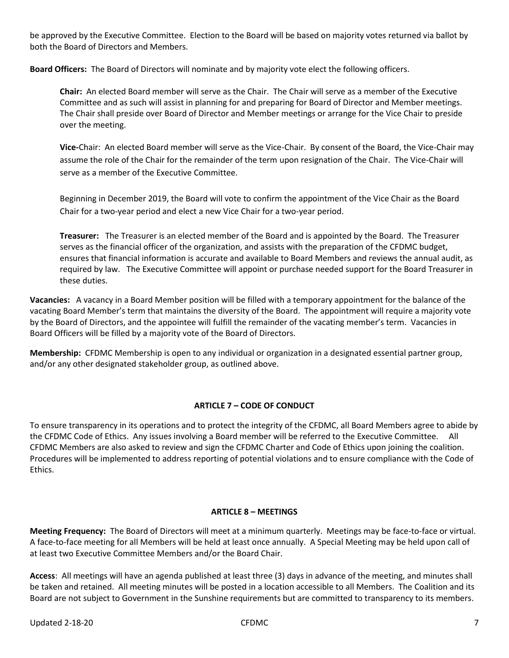be approved by the Executive Committee. Election to the Board will be based on majority votes returned via ballot by both the Board of Directors and Members.

**Board Officers:** The Board of Directors will nominate and by majority vote elect the following officers.

**Chair:** An elected Board member will serve as the Chair. The Chair will serve as a member of the Executive Committee and as such will assist in planning for and preparing for Board of Director and Member meetings. The Chair shall preside over Board of Director and Member meetings or arrange for the Vice Chair to preside over the meeting.

**Vice-**Chair: An elected Board member will serve as the Vice-Chair. By consent of the Board, the Vice-Chair may assume the role of the Chair for the remainder of the term upon resignation of the Chair. The Vice-Chair will serve as a member of the Executive Committee.

Beginning in December 2019, the Board will vote to confirm the appointment of the Vice Chair as the Board Chair for a two-year period and elect a new Vice Chair for a two-year period.

**Treasurer:** The Treasurer is an elected member of the Board and is appointed by the Board. The Treasurer serves as the financial officer of the organization, and assists with the preparation of the CFDMC budget, ensures that financial information is accurate and available to Board Members and reviews the annual audit, as required by law. The Executive Committee will appoint or purchase needed support for the Board Treasurer in these duties.

**Vacancies:** A vacancy in a Board Member position will be filled with a temporary appointment for the balance of the vacating Board Member's term that maintains the diversity of the Board. The appointment will require a majority vote by the Board of Directors, and the appointee will fulfill the remainder of the vacating member's term. Vacancies in Board Officers will be filled by a majority vote of the Board of Directors.

**Membership:** CFDMC Membership is open to any individual or organization in a designated essential partner group, and/or any other designated stakeholder group, as outlined above.

## **ARTICLE 7 – CODE OF CONDUCT**

To ensure transparency in its operations and to protect the integrity of the CFDMC, all Board Members agree to abide by the CFDMC Code of Ethics. Any issues involving a Board member will be referred to the Executive Committee. All CFDMC Members are also asked to review and sign the CFDMC Charter and Code of Ethics upon joining the coalition. Procedures will be implemented to address reporting of potential violations and to ensure compliance with the Code of Ethics.

#### **ARTICLE 8 – MEETINGS**

**Meeting Frequency:** The Board of Directors will meet at a minimum quarterly. Meetings may be face-to-face or virtual. A face-to-face meeting for all Members will be held at least once annually. A Special Meeting may be held upon call of at least two Executive Committee Members and/or the Board Chair.

**Access**: All meetings will have an agenda published at least three (3) days in advance of the meeting, and minutes shall be taken and retained. All meeting minutes will be posted in a location accessible to all Members. The Coalition and its Board are not subject to Government in the Sunshine requirements but are committed to transparency to its members.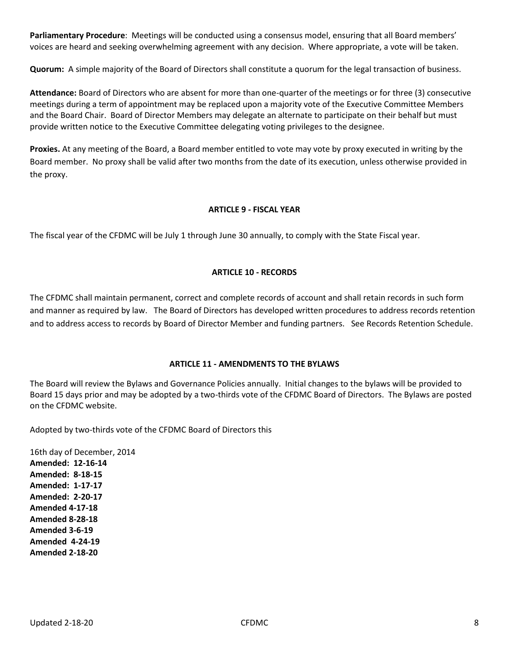**Parliamentary Procedure**: Meetings will be conducted using a consensus model, ensuring that all Board members' voices are heard and seeking overwhelming agreement with any decision. Where appropriate, a vote will be taken.

**Quorum:** A simple majority of the Board of Directors shall constitute a quorum for the legal transaction of business.

**Attendance:** Board of Directors who are absent for more than one-quarter of the meetings or for three (3) consecutive meetings during a term of appointment may be replaced upon a majority vote of the Executive Committee Members and the Board Chair. Board of Director Members may delegate an alternate to participate on their behalf but must provide written notice to the Executive Committee delegating voting privileges to the designee.

**Proxies.** At any meeting of the Board, a Board member entitled to vote may vote by proxy executed in writing by the Board member. No proxy shall be valid after two months from the date of its execution, unless otherwise provided in the proxy.

#### **ARTICLE 9 - FISCAL YEAR**

The fiscal year of the CFDMC will be July 1 through June 30 annually, to comply with the State Fiscal year.

#### **ARTICLE 10 - RECORDS**

The CFDMC shall maintain permanent, correct and complete records of account and shall retain records in such form and manner as required by law. The Board of Directors has developed written procedures to address records retention and to address access to records by Board of Director Member and funding partners. See Records Retention Schedule.

#### **ARTICLE 11 - AMENDMENTS TO THE BYLAWS**

The Board will review the Bylaws and Governance Policies annually. Initial changes to the bylaws will be provided to Board 15 days prior and may be adopted by a two-thirds vote of the CFDMC Board of Directors. The Bylaws are posted on the CFDMC website.

Adopted by two-thirds vote of the CFDMC Board of Directors this

16th day of December, 2014 **Amended: 12-16-14 Amended: 8-18-15 Amended: 1-17-17 Amended: 2-20-17 Amended 4-17-18 Amended 8-28-18 Amended 3-6-19 Amended 4-24-19 Amended 2-18-20**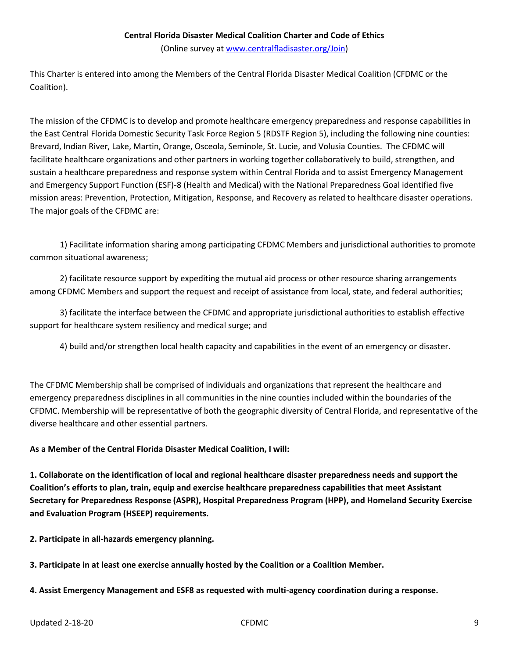#### **Central Florida Disaster Medical Coalition Charter and Code of Ethics**

(Online survey at [www.centralfladisaster.org/](http://www.centralfladisaster.org/)Join)

This Charter is entered into among the Members of the Central Florida Disaster Medical Coalition (CFDMC or the Coalition).

The mission of the CFDMC is to develop and promote healthcare emergency preparedness and response capabilities in the East Central Florida Domestic Security Task Force Region 5 (RDSTF Region 5), including the following nine counties: Brevard, Indian River, Lake, Martin, Orange, Osceola, Seminole, St. Lucie, and Volusia Counties. The CFDMC will facilitate healthcare organizations and other partners in working together collaboratively to build, strengthen, and sustain a healthcare preparedness and response system within Central Florida and to assist Emergency Management and Emergency Support Function (ESF)-8 (Health and Medical) with the National Preparedness Goal identified five mission areas: Prevention, Protection, Mitigation, Response, and Recovery as related to healthcare disaster operations. The major goals of the CFDMC are:

1) Facilitate information sharing among participating CFDMC Members and jurisdictional authorities to promote common situational awareness;

2) facilitate resource support by expediting the mutual aid process or other resource sharing arrangements among CFDMC Members and support the request and receipt of assistance from local, state, and federal authorities;

3) facilitate the interface between the CFDMC and appropriate jurisdictional authorities to establish effective support for healthcare system resiliency and medical surge; and

4) build and/or strengthen local health capacity and capabilities in the event of an emergency or disaster.

The CFDMC Membership shall be comprised of individuals and organizations that represent the healthcare and emergency preparedness disciplines in all communities in the nine counties included within the boundaries of the CFDMC. Membership will be representative of both the geographic diversity of Central Florida, and representative of the diverse healthcare and other essential partners.

**As a Member of the Central Florida Disaster Medical Coalition, I will:**

**1. Collaborate on the identification of local and regional healthcare disaster preparedness needs and support the Coalition's efforts to plan, train, equip and exercise healthcare preparedness capabilities that meet Assistant Secretary for Preparedness Response (ASPR), Hospital Preparedness Program (HPP), and Homeland Security Exercise and Evaluation Program (HSEEP) requirements.** 

**2. Participate in all-hazards emergency planning.**

**3. Participate in at least one exercise annually hosted by the Coalition or a Coalition Member.**

**4. Assist Emergency Management and ESF8 as requested with multi-agency coordination during a response.**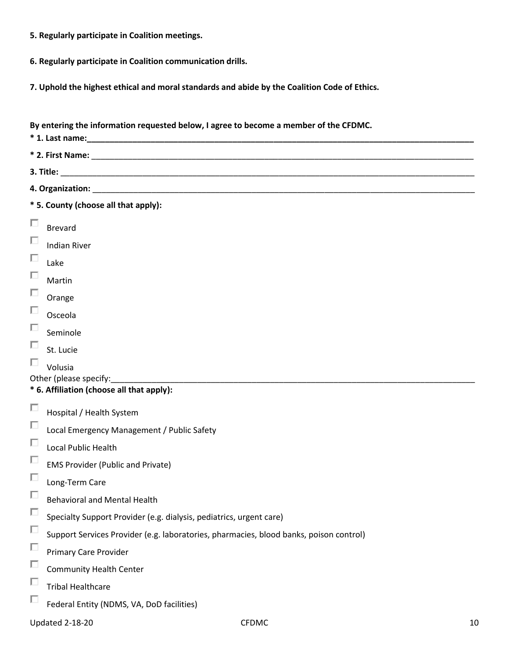- **5. Regularly participate in Coalition meetings.**
- **6. Regularly participate in Coalition communication drills.**
- **7. Uphold the highest ethical and moral standards and abide by the Coalition Code of Ethics.**

|   | By entering the information requested below, I agree to become a member of the CFDMC.  |  |  |  |  |
|---|----------------------------------------------------------------------------------------|--|--|--|--|
|   |                                                                                        |  |  |  |  |
|   |                                                                                        |  |  |  |  |
|   |                                                                                        |  |  |  |  |
|   | * 5. County (choose all that apply):                                                   |  |  |  |  |
| П | <b>Brevard</b>                                                                         |  |  |  |  |
| П | <b>Indian River</b>                                                                    |  |  |  |  |
| П | Lake                                                                                   |  |  |  |  |
| П | Martin                                                                                 |  |  |  |  |
| П | Orange                                                                                 |  |  |  |  |
| П | Osceola                                                                                |  |  |  |  |
| П | Seminole                                                                               |  |  |  |  |
| П | St. Lucie                                                                              |  |  |  |  |
| П | Volusia<br>Other (please specify:<br>* 6. Affiliation (choose all that apply):         |  |  |  |  |
| П | Hospital / Health System                                                               |  |  |  |  |
| П | Local Emergency Management / Public Safety                                             |  |  |  |  |
| П | Local Public Health                                                                    |  |  |  |  |
| П | <b>EMS Provider (Public and Private)</b>                                               |  |  |  |  |
| П | Long-Term Care                                                                         |  |  |  |  |
| П | <b>Behavioral and Mental Health</b>                                                    |  |  |  |  |
| П | Specialty Support Provider (e.g. dialysis, pediatrics, urgent care)                    |  |  |  |  |
| П | Support Services Provider (e.g. laboratories, pharmacies, blood banks, poison control) |  |  |  |  |
| П | <b>Primary Care Provider</b>                                                           |  |  |  |  |
| п | <b>Community Health Center</b>                                                         |  |  |  |  |
| П | <b>Tribal Healthcare</b>                                                               |  |  |  |  |
| П | Federal Entity (NDMS, VA, DoD facilities)                                              |  |  |  |  |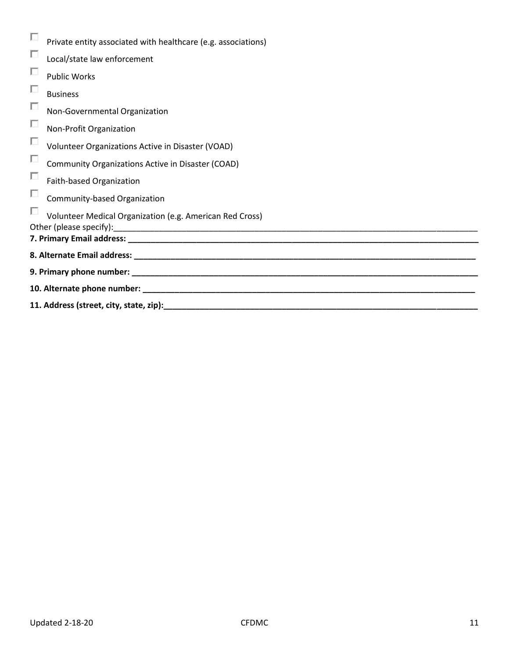| П | Private entity associated with healthcare (e.g. associations) |  |  |
|---|---------------------------------------------------------------|--|--|
| П | Local/state law enforcement                                   |  |  |
| П | <b>Public Works</b>                                           |  |  |
| П | <b>Business</b>                                               |  |  |
| П | Non-Governmental Organization                                 |  |  |
| П | Non-Profit Organization                                       |  |  |
| П | Volunteer Organizations Active in Disaster (VOAD)             |  |  |
| П | Community Organizations Active in Disaster (COAD)             |  |  |
| П | Faith-based Organization                                      |  |  |
| П | Community-based Organization                                  |  |  |
| П | Volunteer Medical Organization (e.g. American Red Cross)      |  |  |
|   |                                                               |  |  |
|   |                                                               |  |  |
|   |                                                               |  |  |
|   |                                                               |  |  |
|   |                                                               |  |  |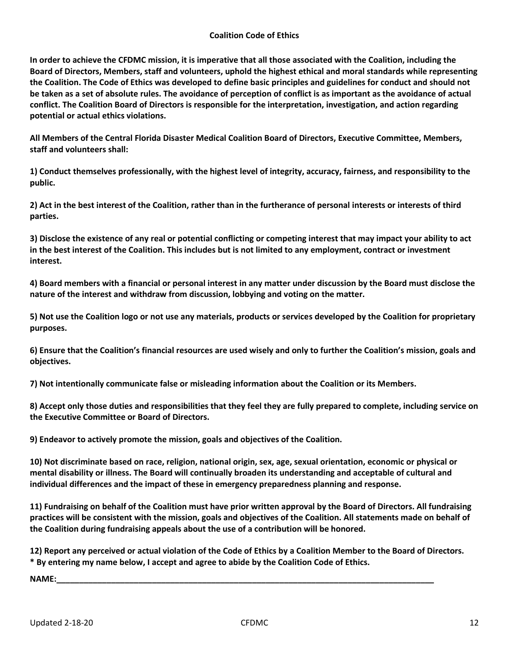#### **Coalition Code of Ethics**

**In order to achieve the CFDMC mission, it is imperative that all those associated with the Coalition, including the Board of Directors, Members, staff and volunteers, uphold the highest ethical and moral standards while representing the Coalition. The Code of Ethics was developed to define basic principles and guidelines for conduct and should not be taken as a set of absolute rules. The avoidance of perception of conflict is as important as the avoidance of actual conflict. The Coalition Board of Directors is responsible for the interpretation, investigation, and action regarding potential or actual ethics violations.** 

**All Members of the Central Florida Disaster Medical Coalition Board of Directors, Executive Committee, Members, staff and volunteers shall:** 

**1) Conduct themselves professionally, with the highest level of integrity, accuracy, fairness, and responsibility to the public.** 

**2) Act in the best interest of the Coalition, rather than in the furtherance of personal interests or interests of third parties.** 

**3) Disclose the existence of any real or potential conflicting or competing interest that may impact your ability to act in the best interest of the Coalition. This includes but is not limited to any employment, contract or investment interest.** 

**4) Board members with a financial or personal interest in any matter under discussion by the Board must disclose the nature of the interest and withdraw from discussion, lobbying and voting on the matter.** 

**5) Not use the Coalition logo or not use any materials, products or services developed by the Coalition for proprietary purposes.**

**6) Ensure that the Coalition's financial resources are used wisely and only to further the Coalition's mission, goals and objectives.**

**7) Not intentionally communicate false or misleading information about the Coalition or its Members.**

**8) Accept only those duties and responsibilities that they feel they are fully prepared to complete, including service on the Executive Committee or Board of Directors.**

**9) Endeavor to actively promote the mission, goals and objectives of the Coalition.** 

**10) Not discriminate based on race, religion, national origin, sex, age, sexual orientation, economic or physical or mental disability or illness. The Board will continually broaden its understanding and acceptable of cultural and individual differences and the impact of these in emergency preparedness planning and response.**

**11) Fundraising on behalf of the Coalition must have prior written approval by the Board of Directors. All fundraising practices will be consistent with the mission, goals and objectives of the Coalition. All statements made on behalf of the Coalition during fundraising appeals about the use of a contribution will be honored.**

**12) Report any perceived or actual violation of the Code of Ethics by a Coalition Member to the Board of Directors. \* By entering my name below, I accept and agree to abide by the Coalition Code of Ethics.** 

**NAME:\_\_\_\_\_\_\_\_\_\_\_\_\_\_\_\_\_\_\_\_\_\_\_\_\_\_\_\_\_\_\_\_\_\_\_\_\_\_\_\_\_\_\_\_\_\_\_\_\_\_\_\_\_\_\_\_\_\_\_\_\_\_\_\_\_\_\_\_\_\_\_\_\_\_\_\_\_\_\_\_\_\_\_**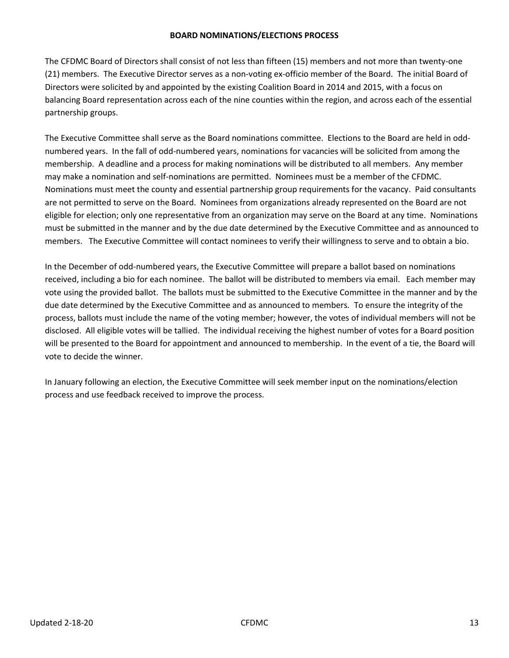#### **BOARD NOMINATIONS/ELECTIONS PROCESS**

The CFDMC Board of Directors shall consist of not less than fifteen (15) members and not more than twenty-one (21) members. The Executive Director serves as a non-voting ex-officio member of the Board. The initial Board of Directors were solicited by and appointed by the existing Coalition Board in 2014 and 2015, with a focus on balancing Board representation across each of the nine counties within the region, and across each of the essential partnership groups.

The Executive Committee shall serve as the Board nominations committee. Elections to the Board are held in oddnumbered years. In the fall of odd-numbered years, nominations for vacancies will be solicited from among the membership. A deadline and a process for making nominations will be distributed to all members. Any member may make a nomination and self-nominations are permitted. Nominees must be a member of the CFDMC. Nominations must meet the county and essential partnership group requirements for the vacancy. Paid consultants are not permitted to serve on the Board. Nominees from organizations already represented on the Board are not eligible for election; only one representative from an organization may serve on the Board at any time. Nominations must be submitted in the manner and by the due date determined by the Executive Committee and as announced to members. The Executive Committee will contact nominees to verify their willingness to serve and to obtain a bio.

In the December of odd-numbered years, the Executive Committee will prepare a ballot based on nominations received, including a bio for each nominee. The ballot will be distributed to members via email. Each member may vote using the provided ballot. The ballots must be submitted to the Executive Committee in the manner and by the due date determined by the Executive Committee and as announced to members. To ensure the integrity of the process, ballots must include the name of the voting member; however, the votes of individual members will not be disclosed. All eligible votes will be tallied. The individual receiving the highest number of votes for a Board position will be presented to the Board for appointment and announced to membership. In the event of a tie, the Board will vote to decide the winner.

In January following an election, the Executive Committee will seek member input on the nominations/election process and use feedback received to improve the process.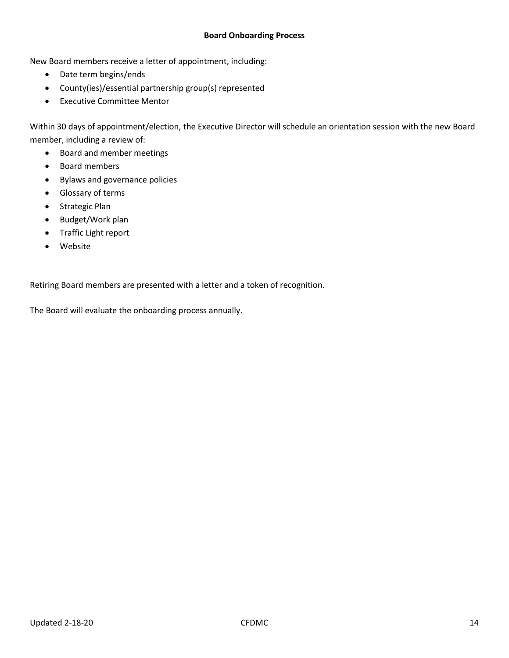#### **Board Onboarding Process**

New Board members receive a letter of appointment, including:

- Date term begins/ends
- County(ies)/essential partnership group(s) represented
- Executive Committee Mentor

Within 30 days of appointment/election, the Executive Director will schedule an orientation session with the new Board member, including a review of:

- Board and member meetings
- Board members
- Bylaws and governance policies
- Glossary of terms
- Strategic Plan
- Budget/Work plan
- Traffic Light report
- Website

Retiring Board members are presented with a letter and a token of recognition.

The Board will evaluate the onboarding process annually.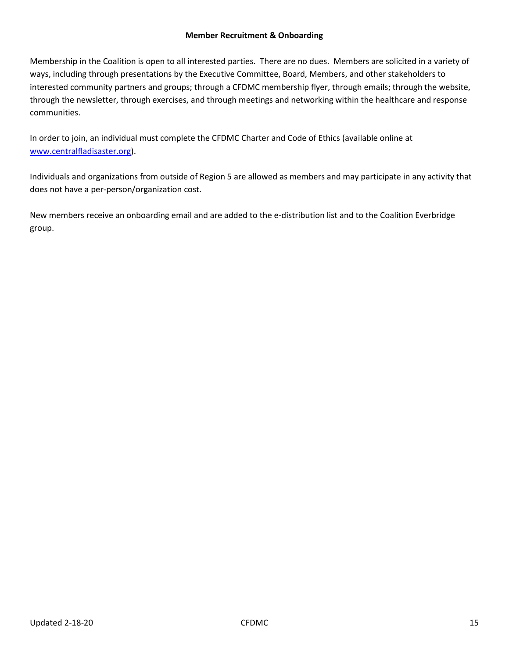#### **Member Recruitment & Onboarding**

Membership in the Coalition is open to all interested parties. There are no dues. Members are solicited in a variety of ways, including through presentations by the Executive Committee, Board, Members, and other stakeholders to interested community partners and groups; through a CFDMC membership flyer, through emails; through the website, through the newsletter, through exercises, and through meetings and networking within the healthcare and response communities.

In order to join, an individual must complete the CFDMC Charter and Code of Ethics (available online at [www.centralfladisaster.org\)](http://www.centralfladisaster.org/).

Individuals and organizations from outside of Region 5 are allowed as members and may participate in any activity that does not have a per-person/organization cost.

New members receive an onboarding email and are added to the e-distribution list and to the Coalition Everbridge group.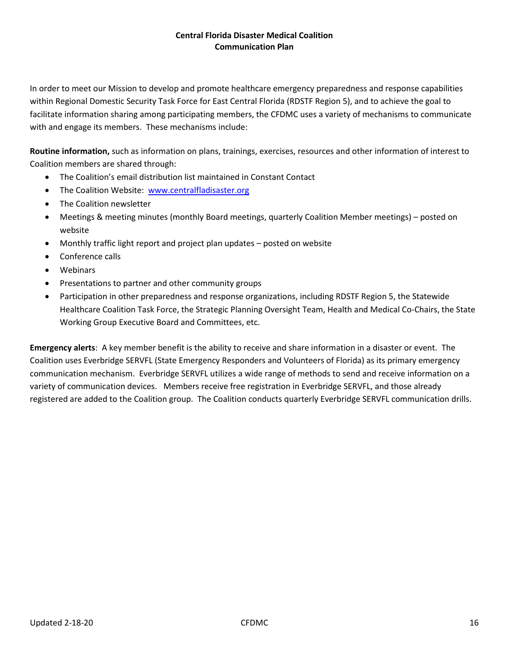#### **Central Florida Disaster Medical Coalition Communication Plan**

In order to meet our Mission to develop and promote healthcare emergency preparedness and response capabilities within Regional Domestic Security Task Force for East Central Florida (RDSTF Region 5), and to achieve the goal to facilitate information sharing among participating members, the CFDMC uses a variety of mechanisms to communicate with and engage its members. These mechanisms include:

**Routine information,** such as information on plans, trainings, exercises, resources and other information of interest to Coalition members are shared through:

- The Coalition's email distribution list maintained in Constant Contact
- The Coalition Website: [www.centralfladisaster.org](http://www.centralfladisaster.org/)
- The Coalition newsletter
- Meetings & meeting minutes (monthly Board meetings, quarterly Coalition Member meetings) posted on website
- Monthly traffic light report and project plan updates posted on website
- Conference calls
- Webinars
- Presentations to partner and other community groups
- Participation in other preparedness and response organizations, including RDSTF Region 5, the Statewide Healthcare Coalition Task Force, the Strategic Planning Oversight Team, Health and Medical Co-Chairs, the State Working Group Executive Board and Committees, etc.

**Emergency alerts**: A key member benefit is the ability to receive and share information in a disaster or event. The Coalition uses Everbridge SERVFL (State Emergency Responders and Volunteers of Florida) as its primary emergency communication mechanism. Everbridge SERVFL utilizes a wide range of methods to send and receive information on a variety of communication devices. Members receive free registration in Everbridge SERVFL, and those already registered are added to the Coalition group. The Coalition conducts quarterly Everbridge SERVFL communication drills.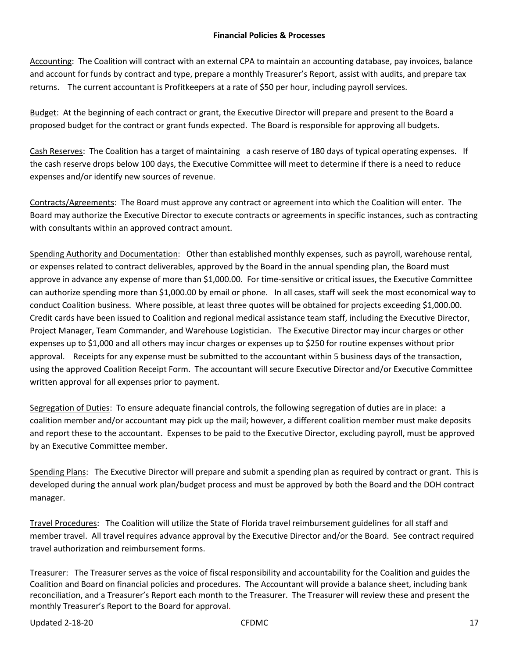Accounting: The Coalition will contract with an external CPA to maintain an accounting database, pay invoices, balance and account for funds by contract and type, prepare a monthly Treasurer's Report, assist with audits, and prepare tax returns. The current accountant is Profitkeepers at a rate of \$50 per hour, including payroll services.

Budget: At the beginning of each contract or grant, the Executive Director will prepare and present to the Board a proposed budget for the contract or grant funds expected. The Board is responsible for approving all budgets.

Cash Reserves: The Coalition has a target of maintaining a cash reserve of 180 days of typical operating expenses. If the cash reserve drops below 100 days, the Executive Committee will meet to determine if there is a need to reduce expenses and/or identify new sources of revenue.

Contracts/Agreements: The Board must approve any contract or agreement into which the Coalition will enter. The Board may authorize the Executive Director to execute contracts or agreements in specific instances, such as contracting with consultants within an approved contract amount.

Spending Authority and Documentation: Other than established monthly expenses, such as payroll, warehouse rental, or expenses related to contract deliverables, approved by the Board in the annual spending plan, the Board must approve in advance any expense of more than \$1,000.00. For time-sensitive or critical issues, the Executive Committee can authorize spending more than \$1,000.00 by email or phone. In all cases, staff will seek the most economical way to conduct Coalition business. Where possible, at least three quotes will be obtained for projects exceeding \$1,000.00. Credit cards have been issued to Coalition and regional medical assistance team staff, including the Executive Director, Project Manager, Team Commander, and Warehouse Logistician. The Executive Director may incur charges or other expenses up to \$1,000 and all others may incur charges or expenses up to \$250 for routine expenses without prior approval. Receipts for any expense must be submitted to the accountant within 5 business days of the transaction, using the approved Coalition Receipt Form. The accountant will secure Executive Director and/or Executive Committee written approval for all expenses prior to payment.

Segregation of Duties: To ensure adequate financial controls, the following segregation of duties are in place: a coalition member and/or accountant may pick up the mail; however, a different coalition member must make deposits and report these to the accountant. Expenses to be paid to the Executive Director, excluding payroll, must be approved by an Executive Committee member.

Spending Plans: The Executive Director will prepare and submit a spending plan as required by contract or grant. This is developed during the annual work plan/budget process and must be approved by both the Board and the DOH contract manager.

Travel Procedures: The Coalition will utilize the State of Florida travel reimbursement guidelines for all staff and member travel. All travel requires advance approval by the Executive Director and/or the Board. See contract required travel authorization and reimbursement forms.

Treasurer: The Treasurer serves as the voice of fiscal responsibility and accountability for the Coalition and guides the Coalition and Board on financial policies and procedures. The Accountant will provide a balance sheet, including bank reconciliation, and a Treasurer's Report each month to the Treasurer. The Treasurer will review these and present the monthly Treasurer's Report to the Board for approval.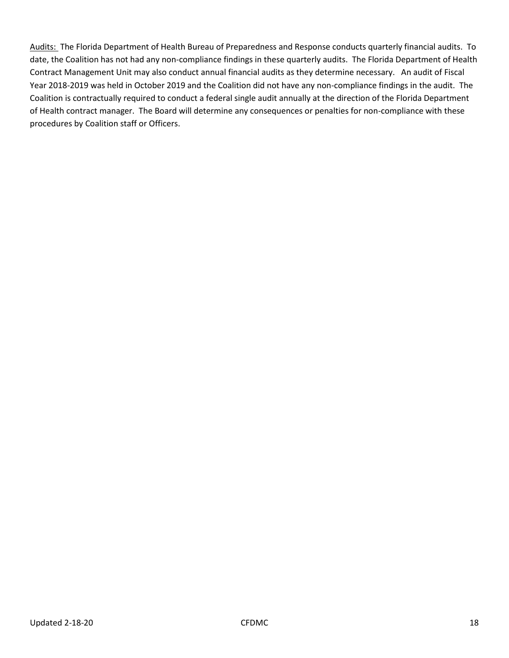Audits: The Florida Department of Health Bureau of Preparedness and Response conducts quarterly financial audits. To date, the Coalition has not had any non-compliance findings in these quarterly audits. The Florida Department of Health Contract Management Unit may also conduct annual financial audits as they determine necessary. An audit of Fiscal Year 2018-2019 was held in October 2019 and the Coalition did not have any non-compliance findings in the audit. The Coalition is contractually required to conduct a federal single audit annually at the direction of the Florida Department of Health contract manager. The Board will determine any consequences or penalties for non-compliance with these procedures by Coalition staff or Officers.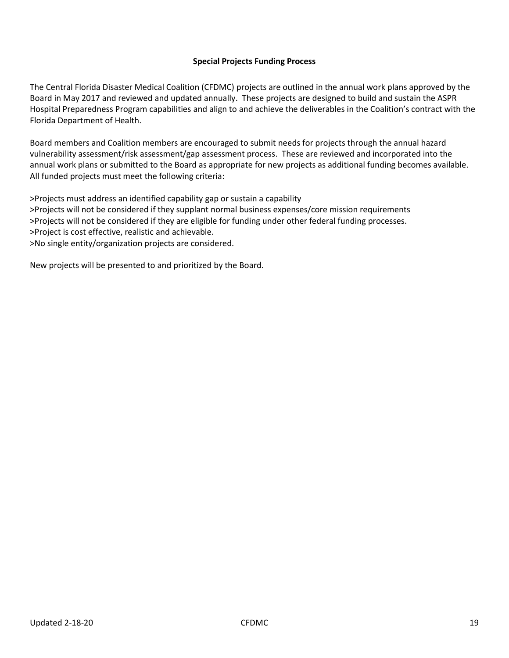#### **Special Projects Funding Process**

The Central Florida Disaster Medical Coalition (CFDMC) projects are outlined in the annual work plans approved by the Board in May 2017 and reviewed and updated annually. These projects are designed to build and sustain the ASPR Hospital Preparedness Program capabilities and align to and achieve the deliverables in the Coalition's contract with the Florida Department of Health.

Board members and Coalition members are encouraged to submit needs for projects through the annual hazard vulnerability assessment/risk assessment/gap assessment process. These are reviewed and incorporated into the annual work plans or submitted to the Board as appropriate for new projects as additional funding becomes available. All funded projects must meet the following criteria:

>Projects must address an identified capability gap or sustain a capability >Projects will not be considered if they supplant normal business expenses/core mission requirements >Projects will not be considered if they are eligible for funding under other federal funding processes. >Project is cost effective, realistic and achievable. >No single entity/organization projects are considered.

New projects will be presented to and prioritized by the Board.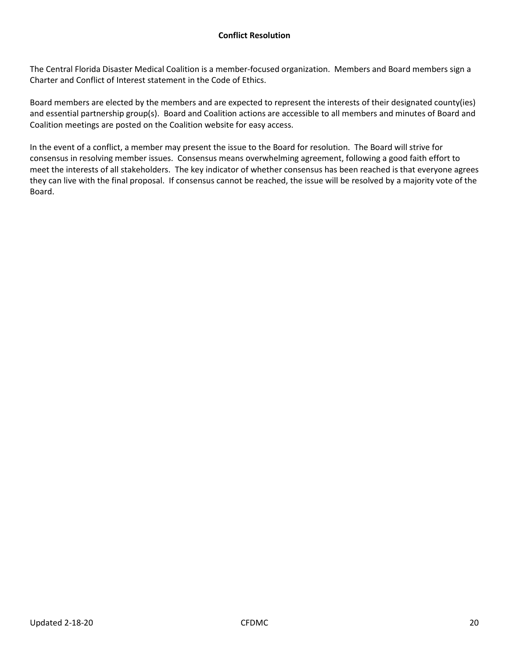The Central Florida Disaster Medical Coalition is a member-focused organization. Members and Board members sign a Charter and Conflict of Interest statement in the Code of Ethics.

Board members are elected by the members and are expected to represent the interests of their designated county(ies) and essential partnership group(s). Board and Coalition actions are accessible to all members and minutes of Board and Coalition meetings are posted on the Coalition website for easy access.

In the event of a conflict, a member may present the issue to the Board for resolution. The Board will strive for consensus in resolving member issues. Consensus means overwhelming agreement, following a good faith effort to meet the interests of all stakeholders. The key indicator of whether consensus has been reached is that everyone agrees they can live with the final proposal. If consensus cannot be reached, the issue will be resolved by a majority vote of the Board.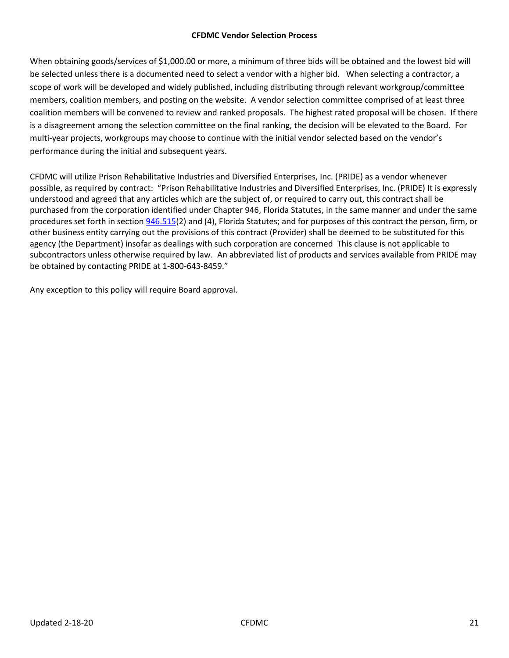#### **CFDMC Vendor Selection Process**

When obtaining goods/services of \$1,000.00 or more, a minimum of three bids will be obtained and the lowest bid will be selected unless there is a documented need to select a vendor with a higher bid. When selecting a contractor, a scope of work will be developed and widely published, including distributing through relevant workgroup/committee members, coalition members, and posting on the website. A vendor selection committee comprised of at least three coalition members will be convened to review and ranked proposals. The highest rated proposal will be chosen. If there is a disagreement among the selection committee on the final ranking, the decision will be elevated to the Board. For multi-year projects, workgroups may choose to continue with the initial vendor selected based on the vendor's performance during the initial and subsequent years.

CFDMC will utilize Prison Rehabilitative Industries and Diversified Enterprises, Inc. (PRIDE) as a vendor whenever possible, as required by contract: "Prison Rehabilitative Industries and Diversified Enterprises, Inc. (PRIDE) It is expressly understood and agreed that any articles which are the subject of, or required to carry out, this contract shall be purchased from the corporation identified under Chapter 946, Florida Statutes, in the same manner and under the same procedures set forth in section [946.515\(](http://www.leg.state.fl.us/Statutes/index.cfm?App_mode=Display_Statute&Search_String=&URL=0900-0999/0946/Sections/0946.515.html)2) and (4), Florida Statutes; and for purposes of this contract the person, firm, or other business entity carrying out the provisions of this contract (Provider) shall be deemed to be substituted for this agency (the Department) insofar as dealings with such corporation are concerned This clause is not applicable to subcontractors unless otherwise required by law. An abbreviated list of products and services available from PRIDE may be obtained by contacting PRIDE at 1-800-643-8459."

Any exception to this policy will require Board approval.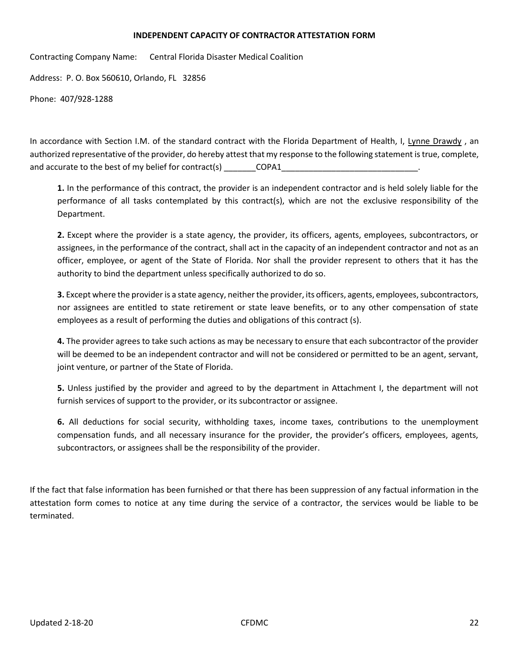#### **INDEPENDENT CAPACITY OF CONTRACTOR ATTESTATION FORM**

Contracting Company Name: Central Florida Disaster Medical Coalition

Address: P. O. Box 560610, Orlando, FL 32856

Phone: 407/928-1288

In accordance with Section I.M. of the standard contract with the Florida Department of Health, I, Lynne Drawdy, an authorized representative of the provider, do hereby attest that my response to the following statement is true, complete, and accurate to the best of my belief for contract(s) \_\_\_\_\_\_\_\_\_\_\_\_\_\_\_COPA1\_

**1.** In the performance of this contract, the provider is an independent contractor and is held solely liable for the performance of all tasks contemplated by this contract(s), which are not the exclusive responsibility of the Department.

**2.** Except where the provider is a state agency, the provider, its officers, agents, employees, subcontractors, or assignees, in the performance of the contract, shall act in the capacity of an independent contractor and not as an officer, employee, or agent of the State of Florida. Nor shall the provider represent to others that it has the authority to bind the department unless specifically authorized to do so.

**3.** Except where the provider is a state agency, neither the provider, its officers, agents, employees, subcontractors, nor assignees are entitled to state retirement or state leave benefits, or to any other compensation of state employees as a result of performing the duties and obligations of this contract (s).

**4.** The provider agrees to take such actions as may be necessary to ensure that each subcontractor of the provider will be deemed to be an independent contractor and will not be considered or permitted to be an agent, servant, joint venture, or partner of the State of Florida.

**5.** Unless justified by the provider and agreed to by the department in Attachment I, the department will not furnish services of support to the provider, or its subcontractor or assignee.

**6.** All deductions for social security, withholding taxes, income taxes, contributions to the unemployment compensation funds, and all necessary insurance for the provider, the provider's officers, employees, agents, subcontractors, or assignees shall be the responsibility of the provider.

If the fact that false information has been furnished or that there has been suppression of any factual information in the attestation form comes to notice at any time during the service of a contractor, the services would be liable to be terminated.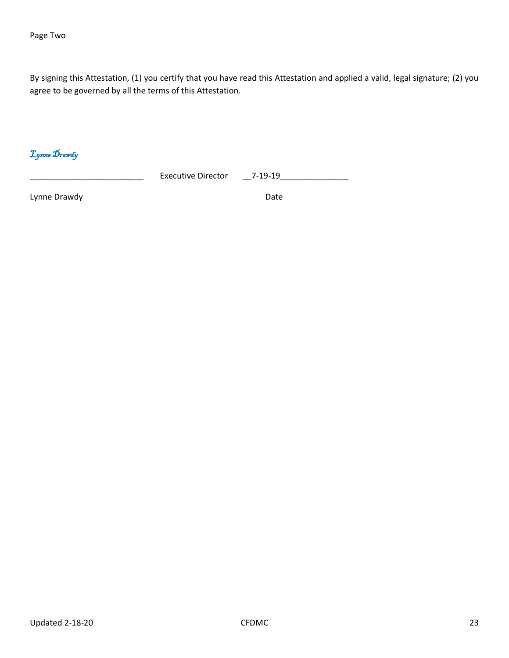Page Two

By signing this Attestation, (1) you certify that you have read this Attestation and applied a valid, legal signature; (2) you agree to be governed by all the terms of this Attestation.

Lynne Drawdy

Executive Director \_\_\_7-19-19

Lynne Drawdy **Date Date Date Date Date**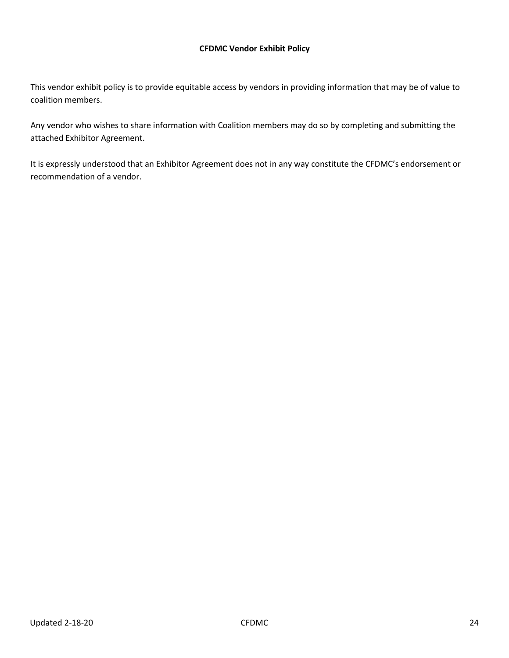#### **CFDMC Vendor Exhibit Policy**

This vendor exhibit policy is to provide equitable access by vendors in providing information that may be of value to coalition members.

Any vendor who wishes to share information with Coalition members may do so by completing and submitting the attached Exhibitor Agreement.

It is expressly understood that an Exhibitor Agreement does not in any way constitute the CFDMC's endorsement or recommendation of a vendor.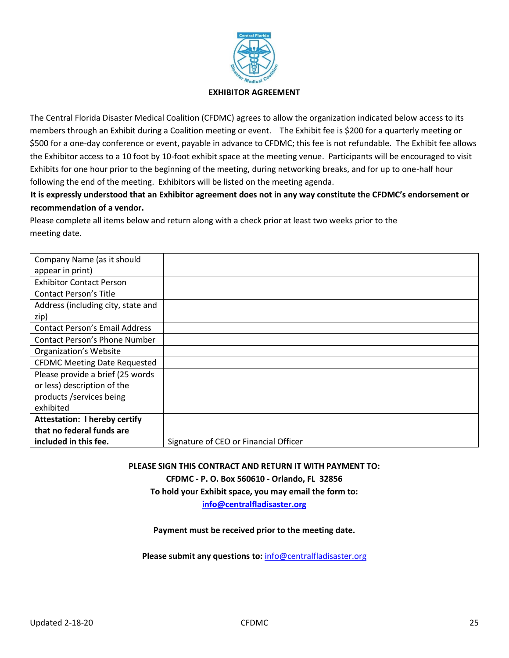

The Central Florida Disaster Medical Coalition (CFDMC) agrees to allow the organization indicated below access to its members through an Exhibit during a Coalition meeting or event. The Exhibit fee is \$200 for a quarterly meeting or \$500 for a one-day conference or event, payable in advance to CFDMC; this fee is not refundable. The Exhibit fee allows the Exhibitor access to a 10 foot by 10-foot exhibit space at the meeting venue. Participants will be encouraged to visit Exhibits for one hour prior to the beginning of the meeting, during networking breaks, and for up to one-half hour following the end of the meeting. Exhibitors will be listed on the meeting agenda.

## **It is expressly understood that an Exhibitor agreement does not in any way constitute the CFDMC's endorsement or recommendation of a vendor.**

Please complete all items below and return along with a check prior at least two weeks prior to the meeting date.

| Company Name (as it should            |                                       |
|---------------------------------------|---------------------------------------|
| appear in print)                      |                                       |
| <b>Exhibitor Contact Person</b>       |                                       |
| <b>Contact Person's Title</b>         |                                       |
| Address (including city, state and    |                                       |
| zip)                                  |                                       |
| <b>Contact Person's Email Address</b> |                                       |
| <b>Contact Person's Phone Number</b>  |                                       |
| <b>Organization's Website</b>         |                                       |
| <b>CFDMC Meeting Date Requested</b>   |                                       |
| Please provide a brief (25 words)     |                                       |
| or less) description of the           |                                       |
| products /services being              |                                       |
| exhibited                             |                                       |
| <b>Attestation: I hereby certify</b>  |                                       |
| that no federal funds are             |                                       |
| included in this fee.                 | Signature of CEO or Financial Officer |

**PLEASE SIGN THIS CONTRACT AND RETURN IT WITH PAYMENT TO:**

**CFDMC - P. O. Box 560610 - Orlando, FL 32856**

**To hold your Exhibit space, you may email the form to:**

**[info@centralfladisaster.org](mailto:info@centralfladisaster.org)**

#### **Payment must be received prior to the meeting date.**

**Please submit any questions to:** [info@centralfladisaster.org](mailto:info@centralfladisaster.org)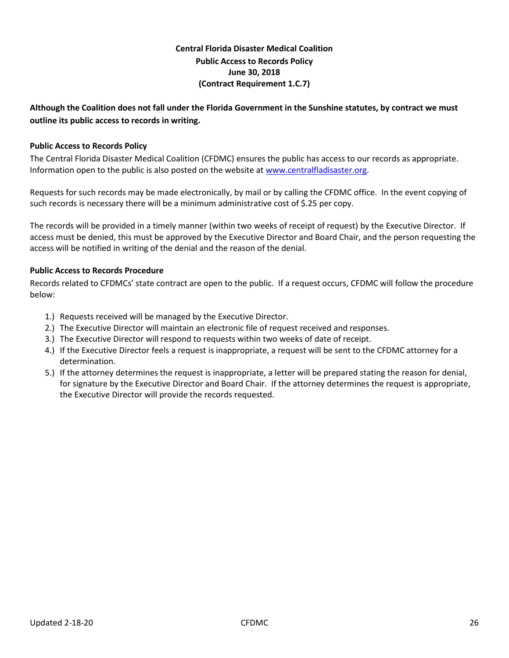## **Central Florida Disaster Medical Coalition Public Access to Records Policy June 30, 2018 (Contract Requirement 1.C.7)**

## **Although the Coalition does not fall under the Florida Government in the Sunshine statutes, by contract we must outline its public access to records in writing.**

### **Public Access to Records Policy**

The Central Florida Disaster Medical Coalition (CFDMC) ensures the public has access to our records as appropriate. Information open to the public is also posted on the website a[t www.centralfladisaster.org.](http://www.centralfladisaster.org/)

Requests for such records may be made electronically, by mail or by calling the CFDMC office. In the event copying of such records is necessary there will be a minimum administrative cost of \$.25 per copy.

The records will be provided in a timely manner (within two weeks of receipt of request) by the Executive Director. If access must be denied, this must be approved by the Executive Director and Board Chair, and the person requesting the access will be notified in writing of the denial and the reason of the denial.

#### **Public Access to Records Procedure**

Records related to CFDMCs' state contract are open to the public. If a request occurs, CFDMC will follow the procedure below:

- 1.) Requests received will be managed by the Executive Director.
- 2.) The Executive Director will maintain an electronic file of request received and responses.
- 3.) The Executive Director will respond to requests within two weeks of date of receipt.
- 4.) If the Executive Director feels a request is inappropriate, a request will be sent to the CFDMC attorney for a determination.
- 5.) If the attorney determines the request is inappropriate, a letter will be prepared stating the reason for denial, for signature by the Executive Director and Board Chair. If the attorney determines the request is appropriate, the Executive Director will provide the records requested.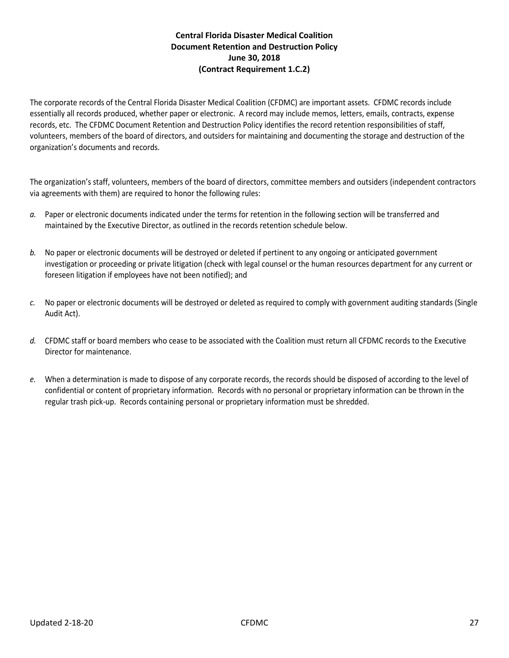## **Central Florida Disaster Medical Coalition Document Retention and Destruction Policy June 30, 2018 (Contract Requirement 1.C.2)**

The corporate records of the Central Florida Disaster Medical Coalition (CFDMC) are important assets. CFDMC records include essentially all records produced, whether paper or electronic. A record may include memos, letters, emails, contracts, expense records, etc. The CFDMC Document Retention and Destruction Policy identifies the record retention responsibilities of staff, volunteers, members of the board of directors, and outsiders for maintaining and documenting the storage and destruction of the organization's documents and records.

The organization's staff, volunteers, members of the board of directors, committee members and outsiders (independent contractors via agreements with them) are required to honor the following rules:

- *a.* Paper or electronic documents indicated under the terms for retention in the following section will be transferred and maintained by the Executive Director, as outlined in the records retention schedule below.
- *b.* No paper or electronic documents will be destroyed or deleted if pertinent to any ongoing or anticipated government investigation or proceeding or private litigation (check with legal counsel or the human resources department for any current or foreseen litigation if employees have not been notified); and
- *c.* No paper or electronic documents will be destroyed or deleted as required to comply with government auditing standards (Single Audit Act).
- *d.* CFDMC staff or board members who cease to be associated with the Coalition must return all CFDMC records to the Executive Director for maintenance.
- *e.* When a determination is made to dispose of any corporate records, the records should be disposed of according to the level of confidential or content of proprietary information. Records with no personal or proprietary information can be thrown in the regular trash pick-up. Records containing personal or proprietary information must be shredded.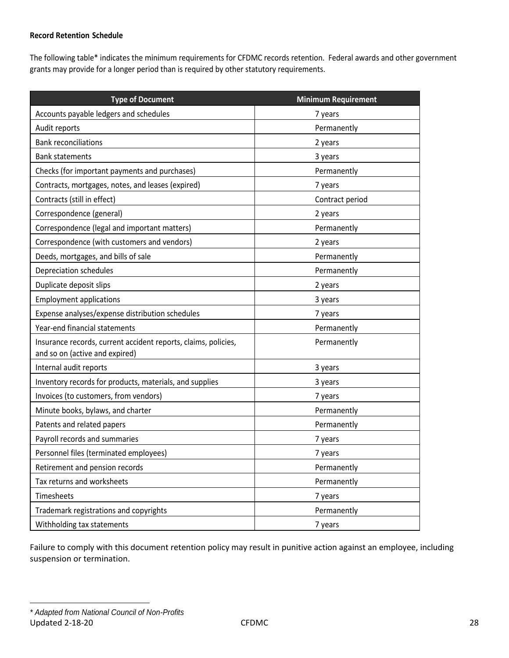#### **Record Retention Schedule**

The following table\* indicates the minimum requirements for CFDMC records retention. Federal awards and other government grants may provide for a longer period than is required by other statutory requirements.

| <b>Type of Document</b>                                                                          | <b>Minimum Requirement</b> |  |
|--------------------------------------------------------------------------------------------------|----------------------------|--|
| Accounts payable ledgers and schedules                                                           | 7 years                    |  |
| Audit reports                                                                                    | Permanently                |  |
| <b>Bank reconciliations</b>                                                                      | 2 years                    |  |
| <b>Bank statements</b>                                                                           | 3 years                    |  |
| Checks (for important payments and purchases)                                                    | Permanently                |  |
| Contracts, mortgages, notes, and leases (expired)                                                | 7 years                    |  |
| Contracts (still in effect)                                                                      | Contract period            |  |
| Correspondence (general)                                                                         | 2 years                    |  |
| Correspondence (legal and important matters)                                                     | Permanently                |  |
| Correspondence (with customers and vendors)                                                      | 2 years                    |  |
| Deeds, mortgages, and bills of sale                                                              | Permanently                |  |
| Depreciation schedules                                                                           | Permanently                |  |
| Duplicate deposit slips                                                                          | 2 years                    |  |
| <b>Employment applications</b>                                                                   | 3 years                    |  |
| Expense analyses/expense distribution schedules                                                  | 7 years                    |  |
| Year-end financial statements                                                                    | Permanently                |  |
| Insurance records, current accident reports, claims, policies,<br>and so on (active and expired) | Permanently                |  |
| Internal audit reports                                                                           | 3 years                    |  |
| Inventory records for products, materials, and supplies                                          | 3 years                    |  |
| Invoices (to customers, from vendors)                                                            | 7 years                    |  |
| Minute books, bylaws, and charter                                                                | Permanently                |  |
| Patents and related papers                                                                       | Permanently                |  |
| Payroll records and summaries                                                                    | 7 years                    |  |
| Personnel files (terminated employees)                                                           | 7 years                    |  |
| Retirement and pension records                                                                   | Permanently                |  |
| Tax returns and worksheets                                                                       | Permanently                |  |
| Timesheets                                                                                       | 7 years                    |  |
| Trademark registrations and copyrights                                                           | Permanently                |  |
| Withholding tax statements                                                                       | 7 years                    |  |

Failure to comply with this document retention policy may result in punitive action against an employee, including suspension or termination.

Updated 2-18-20 28 *\* Adapted from National Council of Non-Profits*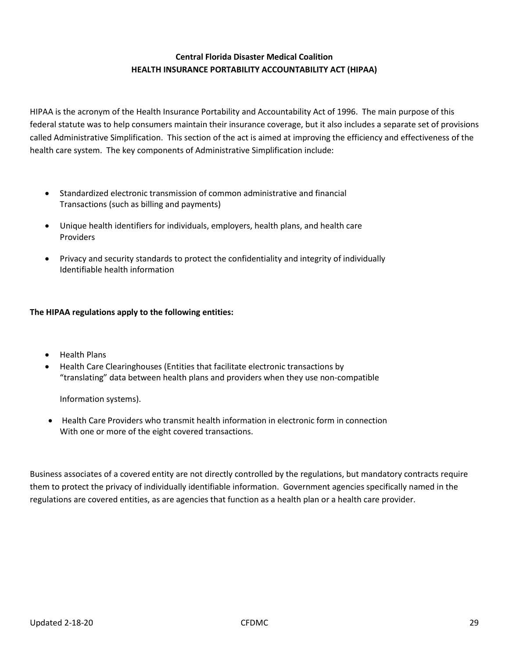## **Central Florida Disaster Medical Coalition HEALTH INSURANCE PORTABILITY ACCOUNTABILITY ACT (HIPAA)**

HIPAA is the acronym of the Health Insurance Portability and Accountability Act of 1996. The main purpose of this federal statute was to help consumers maintain their insurance coverage, but it also includes a separate set of provisions called Administrative Simplification. This section of the act is aimed at improving the efficiency and effectiveness of the health care system. The key components of Administrative Simplification include:

- Standardized electronic transmission of common administrative and financial Transactions (such as billing and payments)
- Unique health identifiers for individuals, employers, health plans, and health care Providers
- Privacy and security standards to protect the confidentiality and integrity of individually Identifiable health information

#### **The HIPAA regulations apply to the following entities:**

- Health Plans
- Health Care Clearinghouses (Entities that facilitate electronic transactions by "translating" data between health plans and providers when they use non-compatible

Information systems).

• Health Care Providers who transmit health information in electronic form in connection With one or more of the eight covered transactions.

Business associates of a covered entity are not directly controlled by the regulations, but mandatory contracts require them to protect the privacy of individually identifiable information. Government agencies specifically named in the regulations are covered entities, as are agencies that function as a health plan or a health care provider.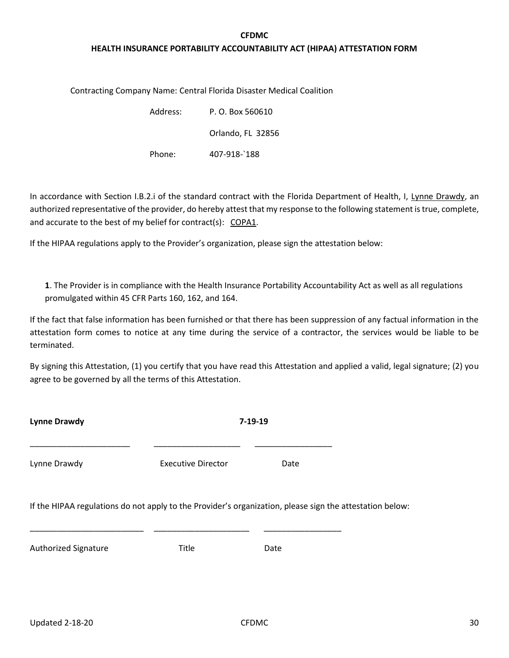## **CFDMC HEALTH INSURANCE PORTABILITY ACCOUNTABILITY ACT (HIPAA) ATTESTATION FORM**

Contracting Company Name: Central Florida Disaster Medical Coalition

| Address: | P. O. Box 560610  |  |
|----------|-------------------|--|
|          | Orlando, FL 32856 |  |
| Phone:   | 407-918-`188      |  |

In accordance with Section I.B.2.i of the standard contract with the Florida Department of Health, I, Lynne Drawdy, an authorized representative of the provider, do hereby attest that my response to the following statement is true, complete, and accurate to the best of my belief for contract(s): COPA1.

If the HIPAA regulations apply to the Provider's organization, please sign the attestation below:

**1**. The Provider is in compliance with the Health Insurance Portability Accountability Act as well as all regulations promulgated within 45 CFR Parts 160, 162, and 164.

If the fact that false information has been furnished or that there has been suppression of any factual information in the attestation form comes to notice at any time during the service of a contractor, the services would be liable to be terminated.

By signing this Attestation, (1) you certify that you have read this Attestation and applied a valid, legal signature; (2) you agree to be governed by all the terms of this Attestation.

| <b>Lynne Drawdy</b>         | $7 - 19 - 19$                                                                                            |      |  |
|-----------------------------|----------------------------------------------------------------------------------------------------------|------|--|
| Lynne Drawdy                | <b>Executive Director</b>                                                                                | Date |  |
|                             | If the HIPAA regulations do not apply to the Provider's organization, please sign the attestation below: |      |  |
| <b>Authorized Signature</b> | Title                                                                                                    | Date |  |
|                             |                                                                                                          |      |  |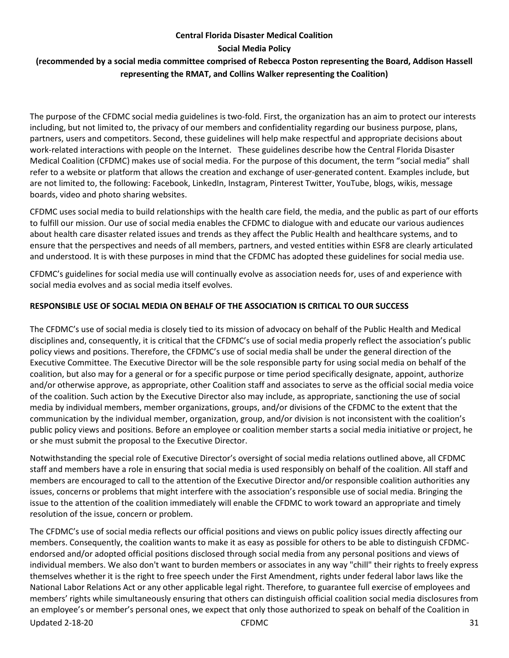#### **Central Florida Disaster Medical Coalition**

**Social Media Policy**

## **(recommended by a social media committee comprised of Rebecca Poston representing the Board, Addison Hassell representing the RMAT, and Collins Walker representing the Coalition)**

The purpose of the CFDMC social media guidelines is two-fold. First, the organization has an aim to protect our interests including, but not limited to, the privacy of our members and confidentiality regarding our business purpose, plans, partners, users and competitors. Second, these guidelines will help make respectful and appropriate decisions about work-related interactions with people on the Internet. These guidelines describe how the Central Florida Disaster Medical Coalition (CFDMC) makes use of social media. For the purpose of this document, the term "social media" shall refer to a website or platform that allows the creation and exchange of user-generated content. Examples include, but are not limited to, the following: Facebook, LinkedIn, Instagram, Pinterest Twitter, YouTube, blogs, wikis, message boards, video and photo sharing websites.

CFDMC uses social media to build relationships with the health care field, the media, and the public as part of our efforts to fulfill our mission. Our use of social media enables the CFDMC to dialogue with and educate our various audiences about health care disaster related issues and trends as they affect the Public Health and healthcare systems, and to ensure that the perspectives and needs of all members, partners, and vested entities within ESF8 are clearly articulated and understood. It is with these purposes in mind that the CFDMC has adopted these guidelines for social media use.

CFDMC's guidelines for social media use will continually evolve as association needs for, uses of and experience with social media evolves and as social media itself evolves.

## **RESPONSIBLE USE OF SOCIAL MEDIA ON BEHALF OF THE ASSOCIATION IS CRITICAL TO OUR SUCCESS**

The CFDMC's use of social media is closely tied to its mission of advocacy on behalf of the Public Health and Medical disciplines and, consequently, it is critical that the CFDMC's use of social media properly reflect the association's public policy views and positions. Therefore, the CFDMC's use of social media shall be under the general direction of the Executive Committee. The Executive Director will be the sole responsible party for using social media on behalf of the coalition, but also may for a general or for a specific purpose or time period specifically designate, appoint, authorize and/or otherwise approve, as appropriate, other Coalition staff and associates to serve as the official social media voice of the coalition. Such action by the Executive Director also may include, as appropriate, sanctioning the use of social media by individual members, member organizations, groups, and/or divisions of the CFDMC to the extent that the communication by the individual member, organization, group, and/or division is not inconsistent with the coalition's public policy views and positions. Before an employee or coalition member starts a social media initiative or project, he or she must submit the proposal to the Executive Director.

Notwithstanding the special role of Executive Director's oversight of social media relations outlined above, all CFDMC staff and members have a role in ensuring that social media is used responsibly on behalf of the coalition. All staff and members are encouraged to call to the attention of the Executive Director and/or responsible coalition authorities any issues, concerns or problems that might interfere with the association's responsible use of social media. Bringing the issue to the attention of the coalition immediately will enable the CFDMC to work toward an appropriate and timely resolution of the issue, concern or problem.

Updated 2-18-20 CFDMC 31 The CFDMC's use of social media reflects our official positions and views on public policy issues directly affecting our members. Consequently, the coalition wants to make it as easy as possible for others to be able to distinguish CFDMCendorsed and/or adopted official positions disclosed through social media from any personal positions and views of individual members. We also don't want to burden members or associates in any way "chill" their rights to freely express themselves whether it is the right to free speech under the First Amendment, rights under federal labor laws like the National Labor Relations Act or any other applicable legal right. Therefore, to guarantee full exercise of employees and members' rights while simultaneously ensuring that others can distinguish official coalition social media disclosures from an employee's or member's personal ones, we expect that only those authorized to speak on behalf of the Coalition in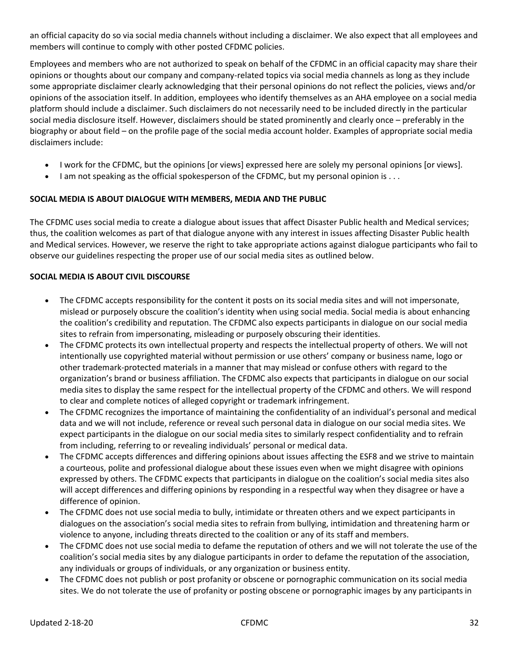an official capacity do so via social media channels without including a disclaimer. We also expect that all employees and members will continue to comply with other posted CFDMC policies.

Employees and members who are not authorized to speak on behalf of the CFDMC in an official capacity may share their opinions or thoughts about our company and company-related topics via social media channels as long as they include some appropriate disclaimer clearly acknowledging that their personal opinions do not reflect the policies, views and/or opinions of the association itself. In addition, employees who identify themselves as an AHA employee on a social media platform should include a disclaimer. Such disclaimers do not necessarily need to be included directly in the particular social media disclosure itself. However, disclaimers should be stated prominently and clearly once – preferably in the biography or about field – on the profile page of the social media account holder. Examples of appropriate social media disclaimers include:

- I work for the CFDMC, but the opinions [or views] expressed here are solely my personal opinions [or views].
- I am not speaking as the official spokesperson of the CFDMC, but my personal opinion is . . .

## **SOCIAL MEDIA IS ABOUT DIALOGUE WITH MEMBERS, MEDIA AND THE PUBLIC**

The CFDMC uses social media to create a dialogue about issues that affect Disaster Public health and Medical services; thus, the coalition welcomes as part of that dialogue anyone with any interest in issues affecting Disaster Public health and Medical services. However, we reserve the right to take appropriate actions against dialogue participants who fail to observe our guidelines respecting the proper use of our social media sites as outlined below.

## **SOCIAL MEDIA IS ABOUT CIVIL DISCOURSE**

- The CFDMC accepts responsibility for the content it posts on its social media sites and will not impersonate, mislead or purposely obscure the coalition's identity when using social media. Social media is about enhancing the coalition's credibility and reputation. The CFDMC also expects participants in dialogue on our social media sites to refrain from impersonating, misleading or purposely obscuring their identities.
- The CFDMC protects its own intellectual property and respects the intellectual property of others. We will not intentionally use copyrighted material without permission or use others' company or business name, logo or other trademark-protected materials in a manner that may mislead or confuse others with regard to the organization's brand or business affiliation. The CFDMC also expects that participants in dialogue on our social media sites to display the same respect for the intellectual property of the CFDMC and others. We will respond to clear and complete notices of alleged copyright or trademark infringement.
- The CFDMC recognizes the importance of maintaining the confidentiality of an individual's personal and medical data and we will not include, reference or reveal such personal data in dialogue on our social media sites. We expect participants in the dialogue on our social media sites to similarly respect confidentiality and to refrain from including, referring to or revealing individuals' personal or medical data.
- The CFDMC accepts differences and differing opinions about issues affecting the ESF8 and we strive to maintain a courteous, polite and professional dialogue about these issues even when we might disagree with opinions expressed by others. The CFDMC expects that participants in dialogue on the coalition's social media sites also will accept differences and differing opinions by responding in a respectful way when they disagree or have a difference of opinion.
- The CFDMC does not use social media to bully, intimidate or threaten others and we expect participants in dialogues on the association's social media sites to refrain from bullying, intimidation and threatening harm or violence to anyone, including threats directed to the coalition or any of its staff and members.
- The CFDMC does not use social media to defame the reputation of others and we will not tolerate the use of the coalition's social media sites by any dialogue participants in order to defame the reputation of the association, any individuals or groups of individuals, or any organization or business entity.
- The CFDMC does not publish or post profanity or obscene or pornographic communication on its social media sites. We do not tolerate the use of profanity or posting obscene or pornographic images by any participants in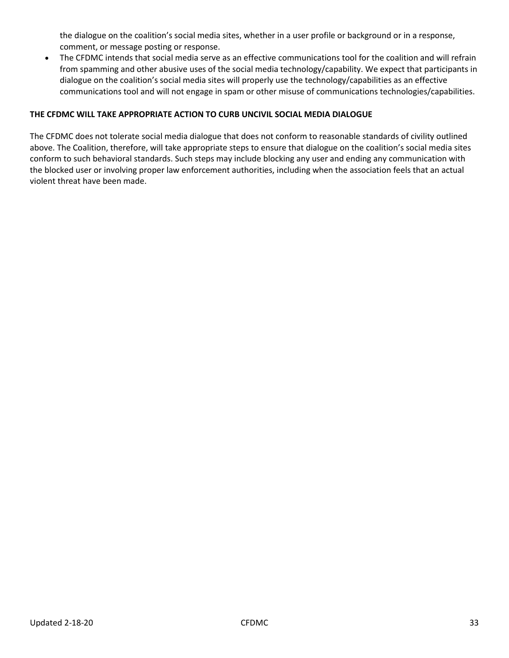the dialogue on the coalition's social media sites, whether in a user profile or background or in a response, comment, or message posting or response.

• The CFDMC intends that social media serve as an effective communications tool for the coalition and will refrain from spamming and other abusive uses of the social media technology/capability. We expect that participants in dialogue on the coalition's social media sites will properly use the technology/capabilities as an effective communications tool and will not engage in spam or other misuse of communications technologies/capabilities.

#### **THE CFDMC WILL TAKE APPROPRIATE ACTION TO CURB UNCIVIL SOCIAL MEDIA DIALOGUE**

The CFDMC does not tolerate social media dialogue that does not conform to reasonable standards of civility outlined above. The Coalition, therefore, will take appropriate steps to ensure that dialogue on the coalition's social media sites conform to such behavioral standards. Such steps may include blocking any user and ending any communication with the blocked user or involving proper law enforcement authorities, including when the association feels that an actual violent threat have been made.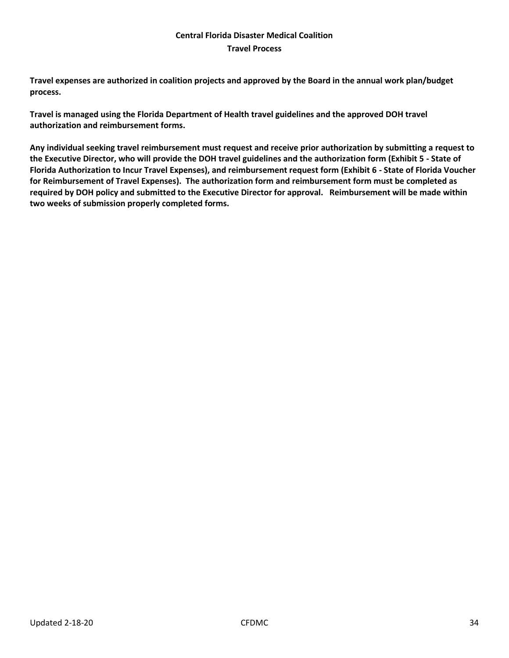#### **Central Florida Disaster Medical Coalition Travel Process**

**Travel expenses are authorized in coalition projects and approved by the Board in the annual work plan/budget process.** 

**Travel is managed using the Florida Department of Health travel guidelines and the approved DOH travel authorization and reimbursement forms.**

**Any individual seeking travel reimbursement must request and receive prior authorization by submitting a request to the Executive Director, who will provide the DOH travel guidelines and the authorization form (Exhibit 5 - State of Florida Authorization to Incur Travel Expenses), and reimbursement request form (Exhibit 6 - State of Florida Voucher for Reimbursement of Travel Expenses). The authorization form and reimbursement form must be completed as required by DOH policy and submitted to the Executive Director for approval. Reimbursement will be made within two weeks of submission properly completed forms.**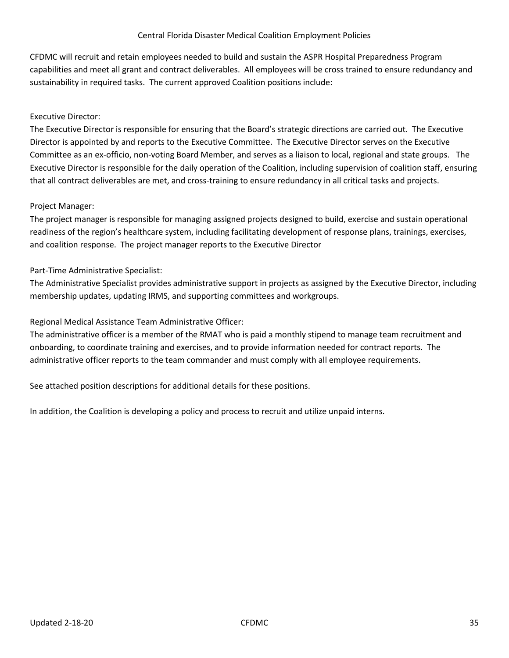#### Central Florida Disaster Medical Coalition Employment Policies

CFDMC will recruit and retain employees needed to build and sustain the ASPR Hospital Preparedness Program capabilities and meet all grant and contract deliverables. All employees will be cross trained to ensure redundancy and sustainability in required tasks. The current approved Coalition positions include:

#### Executive Director:

The Executive Director is responsible for ensuring that the Board's strategic directions are carried out. The Executive Director is appointed by and reports to the Executive Committee. The Executive Director serves on the Executive Committee as an ex-officio, non-voting Board Member, and serves as a liaison to local, regional and state groups. The Executive Director is responsible for the daily operation of the Coalition, including supervision of coalition staff, ensuring that all contract deliverables are met, and cross-training to ensure redundancy in all critical tasks and projects.

#### Project Manager:

The project manager is responsible for managing assigned projects designed to build, exercise and sustain operational readiness of the region's healthcare system, including facilitating development of response plans, trainings, exercises, and coalition response. The project manager reports to the Executive Director

#### Part-Time Administrative Specialist:

The Administrative Specialist provides administrative support in projects as assigned by the Executive Director, including membership updates, updating IRMS, and supporting committees and workgroups.

#### Regional Medical Assistance Team Administrative Officer:

The administrative officer is a member of the RMAT who is paid a monthly stipend to manage team recruitment and onboarding, to coordinate training and exercises, and to provide information needed for contract reports. The administrative officer reports to the team commander and must comply with all employee requirements.

See attached position descriptions for additional details for these positions.

In addition, the Coalition is developing a policy and process to recruit and utilize unpaid interns.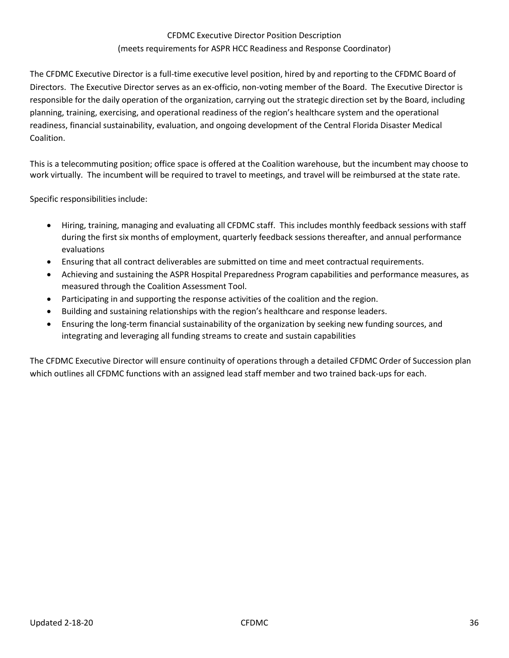## CFDMC Executive Director Position Description (meets requirements for ASPR HCC Readiness and Response Coordinator)

The CFDMC Executive Director is a full-time executive level position, hired by and reporting to the CFDMC Board of Directors. The Executive Director serves as an ex-officio, non-voting member of the Board. The Executive Director is responsible for the daily operation of the organization, carrying out the strategic direction set by the Board, including planning, training, exercising, and operational readiness of the region's healthcare system and the operational readiness, financial sustainability, evaluation, and ongoing development of the Central Florida Disaster Medical Coalition.

This is a telecommuting position; office space is offered at the Coalition warehouse, but the incumbent may choose to work virtually. The incumbent will be required to travel to meetings, and travel will be reimbursed at the state rate.

Specific responsibilities include:

- Hiring, training, managing and evaluating all CFDMC staff. This includes monthly feedback sessions with staff during the first six months of employment, quarterly feedback sessions thereafter, and annual performance evaluations
- Ensuring that all contract deliverables are submitted on time and meet contractual requirements.
- Achieving and sustaining the ASPR Hospital Preparedness Program capabilities and performance measures, as measured through the Coalition Assessment Tool.
- Participating in and supporting the response activities of the coalition and the region.
- Building and sustaining relationships with the region's healthcare and response leaders.
- Ensuring the long-term financial sustainability of the organization by seeking new funding sources, and integrating and leveraging all funding streams to create and sustain capabilities

The CFDMC Executive Director will ensure continuity of operations through a detailed CFDMC Order of Succession plan which outlines all CFDMC functions with an assigned lead staff member and two trained back-ups for each.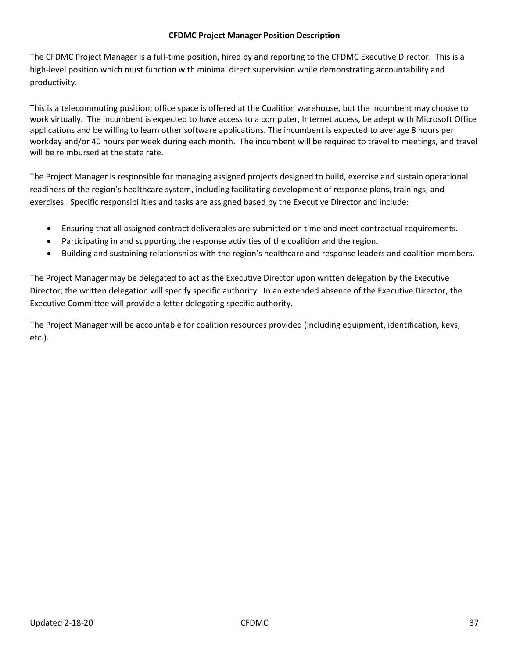#### **CFDMC Project Manager Position Description**

The CFDMC Project Manager is a full-time position, hired by and reporting to the CFDMC Executive Director. This is a high-level position which must function with minimal direct supervision while demonstrating accountability and productivity.

This is a telecommuting position; office space is offered at the Coalition warehouse, but the incumbent may choose to work virtually. The incumbent is expected to have access to a computer, Internet access, be adept with Microsoft Office applications and be willing to learn other software applications. The incumbent is expected to average 8 hours per workday and/or 40 hours per week during each month. The incumbent will be required to travel to meetings, and travel will be reimbursed at the state rate.

The Project Manager is responsible for managing assigned projects designed to build, exercise and sustain operational readiness of the region's healthcare system, including facilitating development of response plans, trainings, and exercises. Specific responsibilities and tasks are assigned based by the Executive Director and include:

- Ensuring that all assigned contract deliverables are submitted on time and meet contractual requirements.
- Participating in and supporting the response activities of the coalition and the region.
- Building and sustaining relationships with the region's healthcare and response leaders and coalition members.

The Project Manager may be delegated to act as the Executive Director upon written delegation by the Executive Director; the written delegation will specify specific authority. In an extended absence of the Executive Director, the Executive Committee will provide a letter delegating specific authority.

The Project Manager will be accountable for coalition resources provided (including equipment, identification, keys, etc.).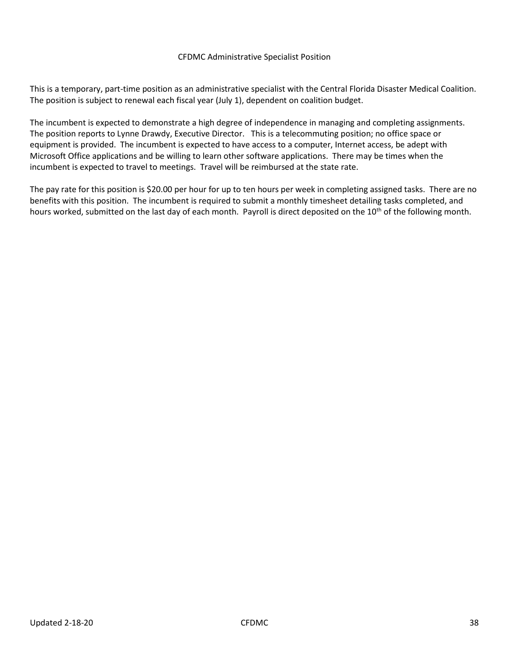#### CFDMC Administrative Specialist Position

This is a temporary, part-time position as an administrative specialist with the Central Florida Disaster Medical Coalition. The position is subject to renewal each fiscal year (July 1), dependent on coalition budget.

The incumbent is expected to demonstrate a high degree of independence in managing and completing assignments. The position reports to Lynne Drawdy, Executive Director. This is a telecommuting position; no office space or equipment is provided. The incumbent is expected to have access to a computer, Internet access, be adept with Microsoft Office applications and be willing to learn other software applications. There may be times when the incumbent is expected to travel to meetings. Travel will be reimbursed at the state rate.

The pay rate for this position is \$20.00 per hour for up to ten hours per week in completing assigned tasks. There are no benefits with this position. The incumbent is required to submit a monthly timesheet detailing tasks completed, and hours worked, submitted on the last day of each month. Payroll is direct deposited on the 10<sup>th</sup> of the following month.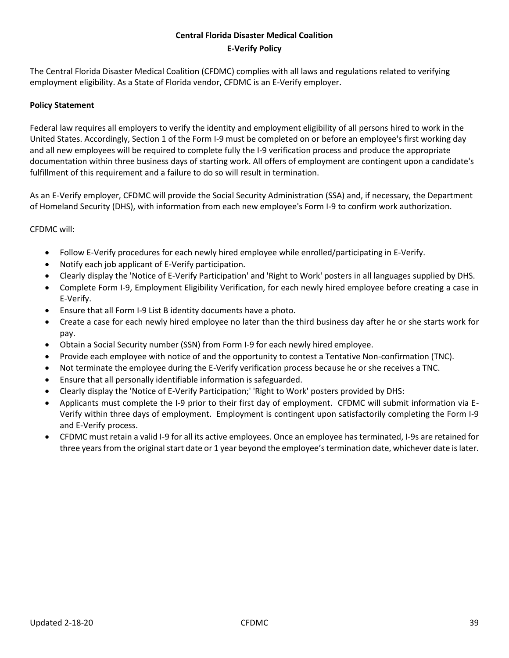## **Central Florida Disaster Medical Coalition E-Verify Policy**

The Central Florida Disaster Medical Coalition (CFDMC) complies with all laws and regulations related to verifying employment eligibility. As a State of Florida vendor, CFDMC is an E-Verify employer.

#### **Policy Statement**

Federal law requires all employers to verify the identity and employment eligibility of all persons hired to work in the United States. Accordingly, Section 1 of the Form I-9 must be completed on or before an employee's first working day and all new employees will be required to complete fully the I-9 verification process and produce the appropriate documentation within three business days of starting work. All offers of employment are contingent upon a candidate's fulfillment of this requirement and a failure to do so will result in termination.

As an E-Verify employer, CFDMC will provide the Social Security Administration (SSA) and, if necessary, the Department of Homeland Security (DHS), with information from each new employee's Form I-9 to confirm work authorization.

#### CFDMC will:

- Follow E-Verify procedures for each newly hired employee while enrolled/participating in E-Verify.
- Notify each job applicant of E-Verify participation.
- Clearly display the 'Notice of E-Verify Participation' and 'Right to Work' posters in all languages supplied by DHS.
- Complete Form I-9, Employment Eligibility Verification, for each newly hired employee before creating a case in E-Verify.
- Ensure that all Form I-9 List B identity documents have a photo.
- Create a case for each newly hired employee no later than the third business day after he or she starts work for pay.
- Obtain a Social Security number (SSN) from Form I-9 for each newly hired employee.
- Provide each employee with notice of and the opportunity to contest a Tentative Non-confirmation (TNC).
- Not terminate the employee during the E-Verify verification process because he or she receives a TNC.
- Ensure that all personally identifiable information is safeguarded.
- Clearly display the 'Notice of E-Verify Participation;' 'Right to Work' posters provided by DHS:
- Applicants must complete the I-9 prior to their first day of employment. CFDMC will submit information via E-Verify within three days of employment. Employment is contingent upon satisfactorily completing the Form I-9 and E-Verify process.
- CFDMC must retain a valid I-9 for all its active employees. Once an employee has terminated, I-9s are retained for three years from the original start date or 1 year beyond the employee's termination date, whichever date is later.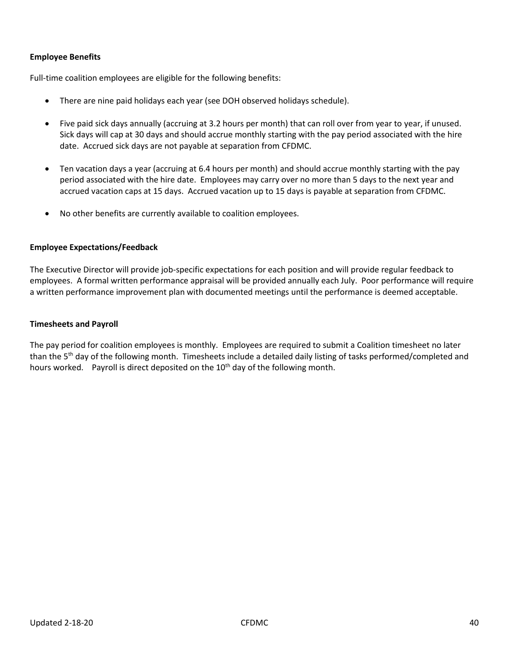#### **Employee Benefits**

Full-time coalition employees are eligible for the following benefits:

- There are nine paid holidays each year (see DOH observed holidays schedule).
- Five paid sick days annually (accruing at 3.2 hours per month) that can roll over from year to year, if unused. Sick days will cap at 30 days and should accrue monthly starting with the pay period associated with the hire date. Accrued sick days are not payable at separation from CFDMC.
- Ten vacation days a year (accruing at 6.4 hours per month) and should accrue monthly starting with the pay period associated with the hire date. Employees may carry over no more than 5 days to the next year and accrued vacation caps at 15 days. Accrued vacation up to 15 days is payable at separation from CFDMC.
- No other benefits are currently available to coalition employees.

#### **Employee Expectations/Feedback**

The Executive Director will provide job-specific expectations for each position and will provide regular feedback to employees. A formal written performance appraisal will be provided annually each July. Poor performance will require a written performance improvement plan with documented meetings until the performance is deemed acceptable.

#### **Timesheets and Payroll**

The pay period for coalition employees is monthly. Employees are required to submit a Coalition timesheet no later than the 5<sup>th</sup> day of the following month. Timesheets include a detailed daily listing of tasks performed/completed and hours worked. Payroll is direct deposited on the 10<sup>th</sup> day of the following month.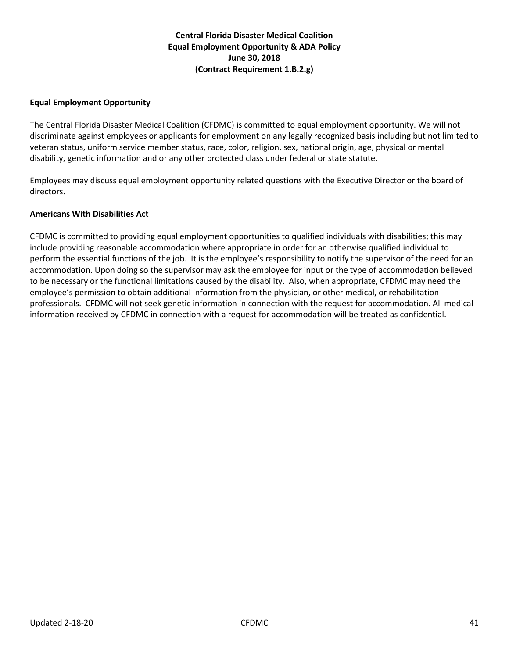## **Central Florida Disaster Medical Coalition Equal Employment Opportunity & ADA Policy June 30, 2018 (Contract Requirement 1.B.2.g)**

#### **Equal Employment Opportunity**

The Central Florida Disaster Medical Coalition (CFDMC) is committed to equal employment opportunity. We will not discriminate against employees or applicants for employment on any legally recognized basis including but not limited to veteran status, uniform service member status, race, color, religion, sex, national origin, age, physical or mental disability, genetic information and or any other protected class under federal or state statute.

Employees may discuss equal employment opportunity related questions with the Executive Director or the board of directors.

#### **Americans With Disabilities Act**

CFDMC is committed to providing equal employment opportunities to qualified individuals with disabilities; this may include providing reasonable accommodation where appropriate in order for an otherwise qualified individual to perform the essential functions of the job. It is the employee's responsibility to notify the supervisor of the need for an accommodation. Upon doing so the supervisor may ask the employee for input or the type of accommodation believed to be necessary or the functional limitations caused by the disability. Also, when appropriate, CFDMC may need the employee's permission to obtain additional information from the physician, or other medical, or rehabilitation professionals. CFDMC will not seek genetic information in connection with the request for accommodation. All medical information received by CFDMC in connection with a request for accommodation will be treated as confidential.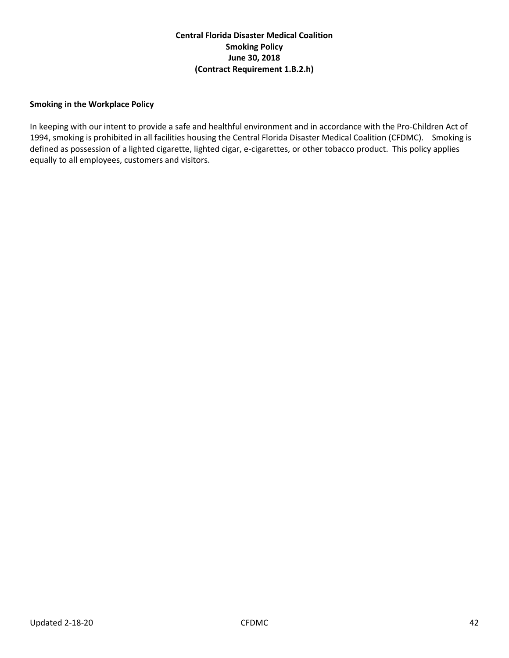## **Central Florida Disaster Medical Coalition Smoking Policy June 30, 2018 (Contract Requirement 1.B.2.h)**

#### **Smoking in the Workplace Policy**

In keeping with our intent to provide a safe and healthful environment and in accordance with the Pro-Children Act of 1994, smoking is prohibited in all facilities housing the Central Florida Disaster Medical Coalition (CFDMC). Smoking is defined as possession of a lighted cigarette, lighted cigar, e-cigarettes, or other tobacco product. This policy applies equally to all employees, customers and visitors.